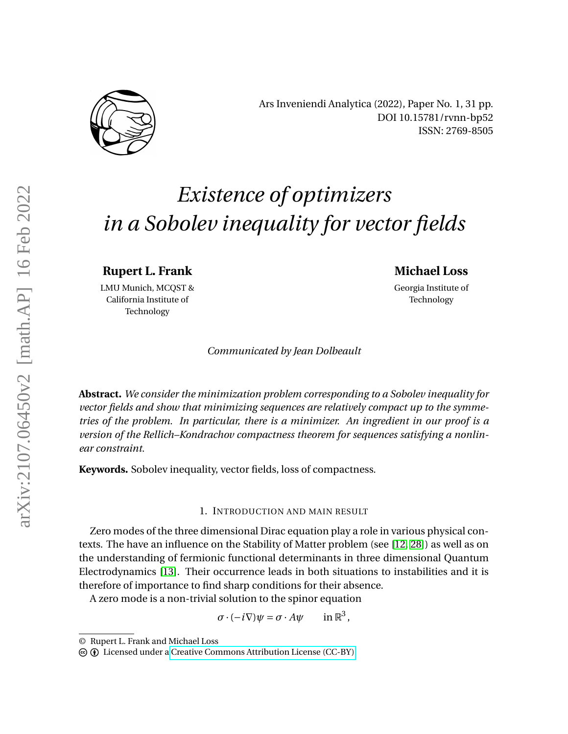

Ars Inveniendi Analytica (2022), Paper No. 1, 31 pp. DOI 10.15781/rvnn-bp52 ISSN: 2769-8505

# *Existence of optimizers in a Sobolev inequality for vector fields*

**Rupert L. Frank**

LMU Munich, MCQST & California Institute of Technology

# **Michael Loss**

Georgia Institute of Technology

*Communicated by Jean Dolbeault*

**Abstract.** *We consider the minimization problem corresponding to a Sobolev inequality for vector fields and show that minimizing sequences are relatively compact up to the symmetries of the problem. In particular, there is a minimizer. An ingredient in our proof is a version of the Rellich–Kondrachov compactness theorem for sequences satisfying a nonlinear constraint.*

**Keywords.** Sobolev inequality, vector fields, loss of compactness.

# 1. INTRODUCTION AND MAIN RESULT

Zero modes of the three dimensional Dirac equation play a role in various physical contexts. The have an influence on the Stability of Matter problem (see [\[12,](#page-29-0) [28\]](#page-29-1)) as well as on the understanding of fermionic functional determinants in three dimensional Quantum Electrodynamics [\[13\]](#page-29-2). Their occurrence leads in both situations to instabilities and it is therefore of importance to find sharp conditions for their absence.

A zero mode is a non-trivial solution to the spinor equation

 $\sigma \cdot (-i\nabla)\psi = \sigma \cdot A\psi$ 3 ,

<sup>©</sup> Rupert L. Frank and Michael Loss

c b Licensed under a [Creative Commons Attribution License \(CC-BY\).](https://creativecommons.org/licenses/by/4.0/)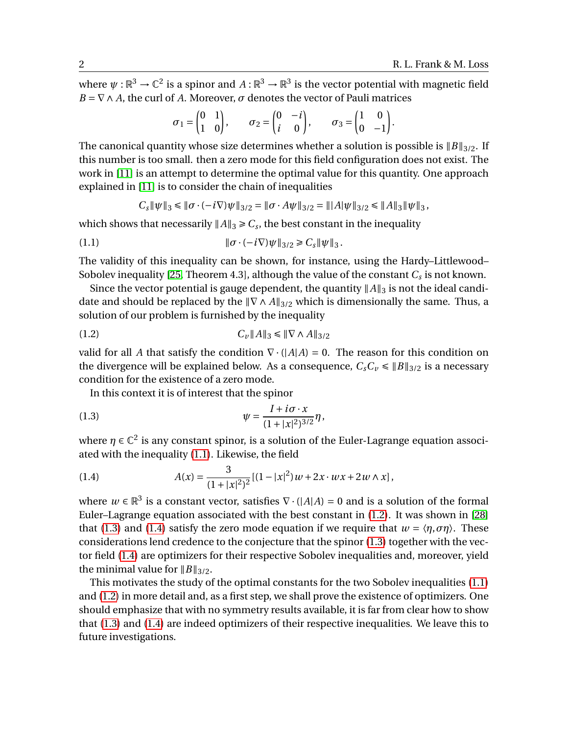where  $\psi: \mathbb{R}^3 \to \mathbb{C}^2$  is a spinor and  $A: \mathbb{R}^3 \to \mathbb{R}^3$  is the vector potential with magnetic field  $B = \nabla \wedge A$ , the curl of *A*. Moreover, *σ* denotes the vector of Pauli matrices

$$
\sigma_1 = \begin{pmatrix} 0 & 1 \\ 1 & 0 \end{pmatrix}, \quad \sigma_2 = \begin{pmatrix} 0 & -i \\ i & 0 \end{pmatrix}, \quad \sigma_3 = \begin{pmatrix} 1 & 0 \\ 0 & -1 \end{pmatrix}.
$$

The canonical quantity whose size determines whether a solution is possible is  $||B||_{3/2}$ . If this number is too small. then a zero mode for this field configuration does not exist. The work in [\[11\]](#page-28-0) is an attempt to determine the optimal value for this quantity. One approach explained in [\[11\]](#page-28-0) is to consider the chain of inequalities

<span id="page-1-0"></span>
$$
C_s \|\psi\|_3 \le \|\sigma \cdot (-i\nabla)\psi\|_{3/2} = \|\sigma \cdot A\psi\|_{3/2} = \| |A| \psi\|_{3/2} \le \|A\|_3 \|\psi\|_3,
$$

which shows that necessarily  $||A||_3 \geq C_s$ , the best constant in the inequality

(1.1) 
$$
\|\sigma \cdot (-i\nabla)\psi\|_{3/2} \geq C_s \|\psi\|_3.
$$

The validity of this inequality can be shown, for instance, using the Hardy–Littlewood– Sobolev inequality [\[25,](#page-29-3) Theorem 4.3], although the value of the constant  $C_s$  is not known.

Since the vector potential is gauge dependent, the quantity  $||A||_3$  is not the ideal candidate and should be replaced by the  $\|\nabla \wedge A\|_{3/2}$  which is dimensionally the same. Thus, a solution of our problem is furnished by the inequality

<span id="page-1-1"></span>(1.2) 
$$
C_v \|A\|_3 \leq \| \nabla \wedge A \|_{3/2}
$$

valid for all *A* that satisfy the condition  $\nabla \cdot (|A|A) = 0$ . The reason for this condition on the divergence will be explained below. As a consequence,  $C_sC_v \le ||B||_{3/2}$  is a necessary condition for the existence of a zero mode.

<span id="page-1-2"></span>In this context it is of interest that the spinor

(1.3) 
$$
\psi = \frac{I + i\sigma \cdot x}{(1 + |x|^2)^{3/2}} \eta,
$$

where  $\eta \in \mathbb{C}^2$  is any constant spinor, is a solution of the Euler-Lagrange equation associated with the inequality [\(1.1\)](#page-1-0). Likewise, the field

<span id="page-1-3"></span>(1.4) 
$$
A(x) = \frac{3}{(1+|x|^2)^2} [(1-|x|^2)w + 2x \cdot wx + 2w \wedge x],
$$

where  $w \in \mathbb{R}^3$  is a constant vector, satisfies  $\nabla \cdot (|A|A) = 0$  and is a solution of the formal Euler–Lagrange equation associated with the best constant in [\(1.2\)](#page-1-1). It was shown in [\[28\]](#page-29-1) that [\(1.3\)](#page-1-2) and [\(1.4\)](#page-1-3) satisfy the zero mode equation if we require that  $w = \langle \eta, \sigma \eta \rangle$ . These considerations lend credence to the conjecture that the spinor [\(1.3\)](#page-1-2) together with the vector field [\(1.4\)](#page-1-3) are optimizers for their respective Sobolev inequalities and, moreover, yield the minimal value for  $||B||_{3/2}$ .

This motivates the study of the optimal constants for the two Sobolev inequalities [\(1.1\)](#page-1-0) and [\(1.2\)](#page-1-1) in more detail and, as a first step, we shall prove the existence of optimizers. One should emphasize that with no symmetry results available, it is far from clear how to show that [\(1.3\)](#page-1-2) and [\(1.4\)](#page-1-3) are indeed optimizers of their respective inequalities. We leave this to future investigations.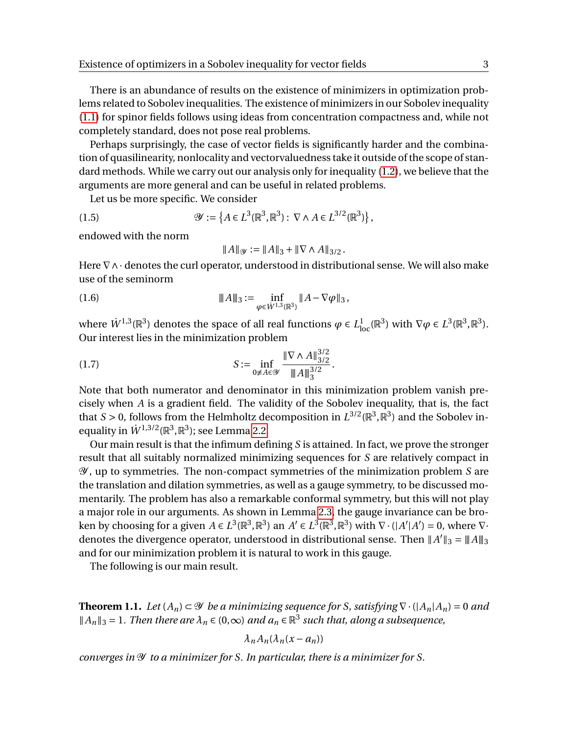There is an abundance of results on the existence of minimizers in optimization problems related to Sobolev inequalities. The existence of minimizers in our Sobolev inequality [\(1.1\)](#page-1-0) for spinor fields follows using ideas from concentration compactness and, while not completely standard, does not pose real problems.

Perhaps surprisingly, the case of vector fields is significantly harder and the combination of quasilinearity, nonlocality and vectorvaluedness take it outside of the scope of standard methods. While we carry out our analysis only for inequality [\(1.2\)](#page-1-1), we believe that the arguments are more general and can be useful in related problems.

Let us be more specific. We consider

(1.5) 
$$
\mathscr{Y} := \left\{ A \in L^3(\mathbb{R}^3, \mathbb{R}^3) : \nabla \wedge A \in L^{3/2}(\mathbb{R}^3) \right\},
$$

endowed with the norm

<span id="page-2-3"></span><span id="page-2-2"></span><span id="page-2-1"></span>
$$
||A||_{\mathcal{Y}} := ||A||_3 + ||\nabla \wedge A||_{3/2}.
$$

Here  $\nabla \wedge \cdot$  denotes the curl operator, understood in distributional sense. We will also make use of the seminorm

(1.6) 
$$
\|A\|_3 := \inf_{\varphi \in \dot{W}^{1,3}(\mathbb{R}^3)} \|A - \nabla \varphi\|_3,
$$

where  $\dot{W}^{1,3}(\mathbb{R}^3)$  denotes the space of all real functions  $\varphi \in L^1_{\text{loc}}(\mathbb{R}^3)$  with  $\nabla \varphi \in L^3(\mathbb{R}^3,\mathbb{R}^3)$ . Our interest lies in the minimization problem

(1.7) 
$$
S := \inf_{0 \neq A \in \mathcal{Y}} \frac{\|\nabla \wedge A\|_{3/2}^{3/2}}{\|A\|_3^{3/2}}.
$$

Note that both numerator and denominator in this minimization problem vanish precisely when *A* is a gradient field. The validity of the Sobolev inequality, that is, the fact that *S* > 0, follows from the Helmholtz decomposition in  $L^{3/2}(\mathbb{R}^3, \mathbb{R}^3)$  and the Sobolev inequality in  $\dot{W}^{1,3/2}(\mathbb{R}^3,\mathbb{R}^3)$ ; see Lemma [2.2.](#page-6-0)

Our main result is that the infimum defining *S* is attained. In fact, we prove the stronger result that all suitably normalized minimizing sequences for *S* are relatively compact in Y , up to symmetries. The non-compact symmetries of the minimization problem *S* are the translation and dilation symmetries, as well as a gauge symmetry, to be discussed momentarily. The problem has also a remarkable conformal symmetry, but this will not play a major role in our arguments. As shown in Lemma [2.3,](#page-6-1) the gauge invariance can be broken by choosing for a given  $A \in L^3(\mathbb{R}^3, \mathbb{R}^3)$  an  $A' \in L^3(\mathbb{R}^3, \mathbb{R}^3)$  with  $\nabla \cdot (|A'|A') = 0$ , where  $\nabla \cdot$ denotes the divergence operator, understood in distributional sense. Then  $||A'||_3 = ||A||_3$ and for our minimization problem it is natural to work in this gauge.

The following is our main result.

<span id="page-2-0"></span>**Theorem 1.1.** *Let*  $(A_n) \subset \mathcal{Y}$  *be a minimizing sequence for S, satisfying*  $\nabla \cdot (|A_n|A_n) = 0$  *and*  $||A_n||_3 = 1$ . Then there are  $\lambda_n \in (0,\infty)$  and  $a_n \in \mathbb{R}^3$  such that, along a subsequence,

$$
\lambda_n A_n (\lambda_n (x - a_n))
$$

*converges in* Y *to a minimizer for S. In particular, there is a minimizer for S.*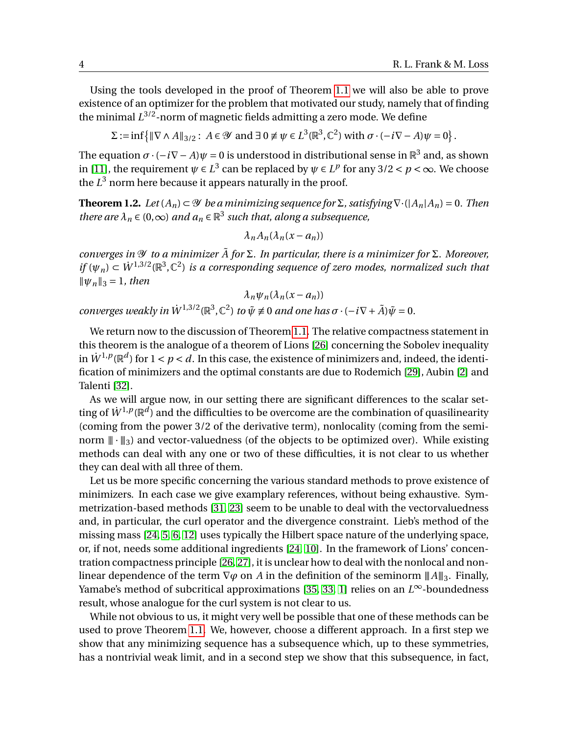Using the tools developed in the proof of Theorem [1.1](#page-2-0) we will also be able to prove existence of an optimizer for the problem that motivated our study, namely that of finding the minimal *L* 3/2-norm of magnetic fields admitting a zero mode. We define

 $\Sigma := \inf \{ || \nabla \wedge A ||_{3/2} : A \in \mathcal{Y} \text{ and } \exists 0 \neq \psi \in L^3(\mathbb{R}^3, \mathbb{C}^2) \text{ with } \sigma \cdot (-i\nabla - A)\psi = 0 \}.$ 

The equation  $\sigma \cdot (-i\nabla - A)\psi = 0$  is understood in distributional sense in  $\mathbb{R}^3$  and, as shown in [\[11\]](#page-28-0), the requirement  $\psi \in L^3$  can be replaced by  $\psi \in L^p$  for any 3/2 <  $p < \infty$ . We choose the  $L^3$  norm here because it appears naturally in the proof.

<span id="page-3-0"></span>**Theorem 1.2.** *Let*  $(A_n) \subset \mathcal{Y}$  *be a minimizing sequence for*  $\Sigma$ *, satisfying*  $\nabla \cdot (|A_n|A_n) = 0$ *. Then there are*  $\lambda_n \in (0,\infty)$  *and*  $a_n \in \mathbb{R}^3$  *such that, along a subsequence,* 

$$
\lambda_n A_n (\lambda_n (x - a_n))
$$

*converges in* Y *to a minimizer A for* ˜ Σ*. In particular, there is a minimizer for* Σ*. Moreover, if*  $(\psi_n) \subset W^{1,3/2}(\mathbb{R}^3, \mathbb{C}^2)$  *is a corresponding sequence of zero modes, normalized such that*  $\|\psi_{n}\|_{3} = 1$ *, then* 

$$
\lambda_n \psi_n(\lambda_n(x-a_n))
$$

*converges weakly in*  $\dot{W}^{1,3/2}(\mathbb{R}^3, \mathbb{C}^2)$  *to*  $\tilde{\psi} \neq 0$  *and one has*  $\sigma \cdot (-i\nabla + \tilde{A})\tilde{\psi} = 0$ *.* 

We return now to the discussion of Theorem [1.1.](#page-2-0) The relative compactness statement in this theorem is the analogue of a theorem of Lions [\[26\]](#page-29-4) concerning the Sobolev inequality in  $\dot{W}^{1,p}(\mathbb{R}^d)$  for  $1 < p < d$ . In this case, the existence of minimizers and, indeed, the identification of minimizers and the optimal constants are due to Rodemich [\[29\]](#page-29-5), Aubin [\[2\]](#page-28-1) and Talenti [\[32\]](#page-29-6).

As we will argue now, in our setting there are significant differences to the scalar setting of  $\dot{W}^{1,p}(\mathbb{R}^d)$  and the difficulties to be overcome are the combination of quasilinearity (coming from the power 3/2 of the derivative term), nonlocality (coming from the seminorm  $\|\cdot\|_3$  and vector-valuedness (of the objects to be optimized over). While existing methods can deal with any one or two of these difficulties, it is not clear to us whether they can deal with all three of them.

Let us be more specific concerning the various standard methods to prove existence of minimizers. In each case we give examplary references, without being exhaustive. Symmetrization-based methods [\[31,](#page-29-7) [23\]](#page-29-8) seem to be unable to deal with the vectorvaluedness and, in particular, the curl operator and the divergence constraint. Lieb's method of the missing mass [\[24,](#page-29-9) [5,](#page-28-2) [6,](#page-28-3) [12\]](#page-29-0) uses typically the Hilbert space nature of the underlying space, or, if not, needs some additional ingredients [\[24,](#page-29-9) [10\]](#page-28-4). In the framework of Lions' concentration compactness principle [\[26,](#page-29-4) [27\]](#page-29-10), it is unclear how to deal with the nonlocal and nonlinear dependence of the term  $\nabla \varphi$  on *A* in the definition of the seminorm  $||A||_3$ . Finally, Yamabe's method of subcritical approximations [\[35,](#page-29-11) [33,](#page-29-12) [1\]](#page-28-5) relies on an *L* <sup>∞</sup>-boundedness result, whose analogue for the curl system is not clear to us.

While not obvious to us, it might very well be possible that one of these methods can be used to prove Theorem [1.1.](#page-2-0) We, however, choose a different approach. In a first step we show that any minimizing sequence has a subsequence which, up to these symmetries, has a nontrivial weak limit, and in a second step we show that this subsequence, in fact,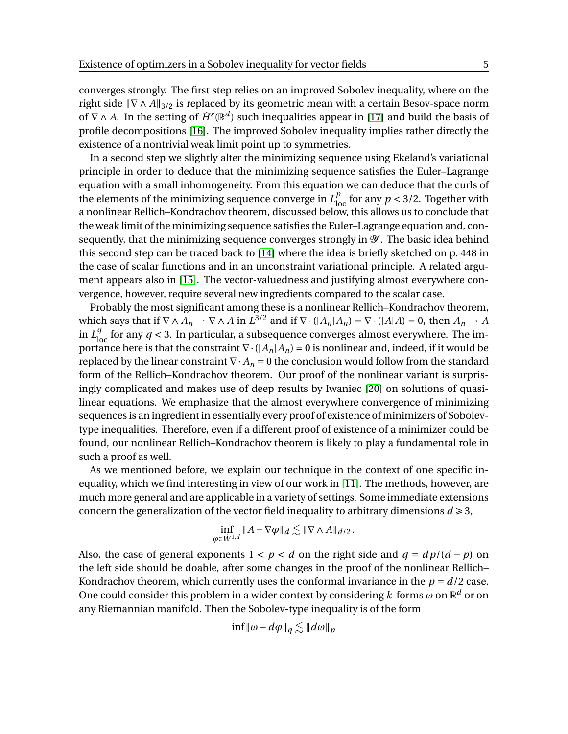converges strongly. The first step relies on an improved Sobolev inequality, where on the right side  $\|\nabla \wedge A\|_{3/2}$  is replaced by its geometric mean with a certain Besov-space norm of  $\nabla \wedge A$ . In the setting of  $\dot{H}^s(\mathbb{R}^d)$  such inequalities appear in [\[17\]](#page-29-13) and build the basis of profile decompositions [\[16\]](#page-29-14). The improved Sobolev inequality implies rather directly the existence of a nontrivial weak limit point up to symmetries.

In a second step we slightly alter the minimizing sequence using Ekeland's variational principle in order to deduce that the minimizing sequence satisfies the Euler–Lagrange equation with a small inhomogeneity. From this equation we can deduce that the curls of the elements of the minimizing sequence converge in  $L_{\text{loc}}^p$  for any  $p < 3/2$ . Together with a nonlinear Rellich–Kondrachov theorem, discussed below, this allows us to conclude that the weak limit of the minimizing sequence satisfies the Euler–Lagrange equation and, consequently, that the minimizing sequence converges strongly in  $\mathcal Y$ . The basic idea behind this second step can be traced back to [\[14\]](#page-29-15) where the idea is briefly sketched on p. 448 in the case of scalar functions and in an unconstraint variational principle. A related argument appears also in [\[15\]](#page-29-16). The vector-valuedness and justifying almost everywhere convergence, however, require several new ingredients compared to the scalar case.

Probably the most significant among these is a nonlinear Rellich–Kondrachov theorem, which says that if  $\nabla \wedge A_n \to \nabla \wedge A$  in  $L^{3/2}$  and if  $\nabla \cdot (|A_n|A_n) = \nabla \cdot (|A|A) = 0$ , then  $A_n \to A$ in  $L_{\text{loc}}^q$  for any  $q < 3$ . In particular, a subsequence converges almost everywhere. The importance here is that the constraint  $\nabla \cdot (A_n|A_n) = 0$  is nonlinear and, indeed, if it would be replaced by the linear constraint  $\nabla \cdot A_n = 0$  the conclusion would follow from the standard form of the Rellich–Kondrachov theorem. Our proof of the nonlinear variant is surprisingly complicated and makes use of deep results by Iwaniec [\[20\]](#page-29-17) on solutions of quasilinear equations. We emphasize that the almost everywhere convergence of minimizing sequences is an ingredient in essentially every proof of existence of minimizers of Sobolevtype inequalities. Therefore, even if a different proof of existence of a minimizer could be found, our nonlinear Rellich–Kondrachov theorem is likely to play a fundamental role in such a proof as well.

As we mentioned before, we explain our technique in the context of one specific inequality, which we find interesting in view of our work in [\[11\]](#page-28-0). The methods, however, are much more general and are applicable in a variety of settings. Some immediate extensions concern the generalization of the vector field inequality to arbitrary dimensions  $d \ge 3$ ,

$$
\inf_{\varphi \in \dot{W}^{1,d}} \|A - \nabla \varphi\|_d \lesssim \|\nabla \wedge A\|_{d/2}.
$$

Also, the case of general exponents  $1 < p < d$  on the right side and  $q = dp/(d - p)$  on the left side should be doable, after some changes in the proof of the nonlinear Rellich– Kondrachov theorem, which currently uses the conformal invariance in the  $p = d/2$  case. One could consider this problem in a wider context by considering  $k$ -forms  $\omega$  on  $\mathbb{R}^d$  or on any Riemannian manifold. Then the Sobolev-type inequality is of the form

$$
\inf \|\omega - d\varphi\|_q \lesssim \|d\omega\|_p
$$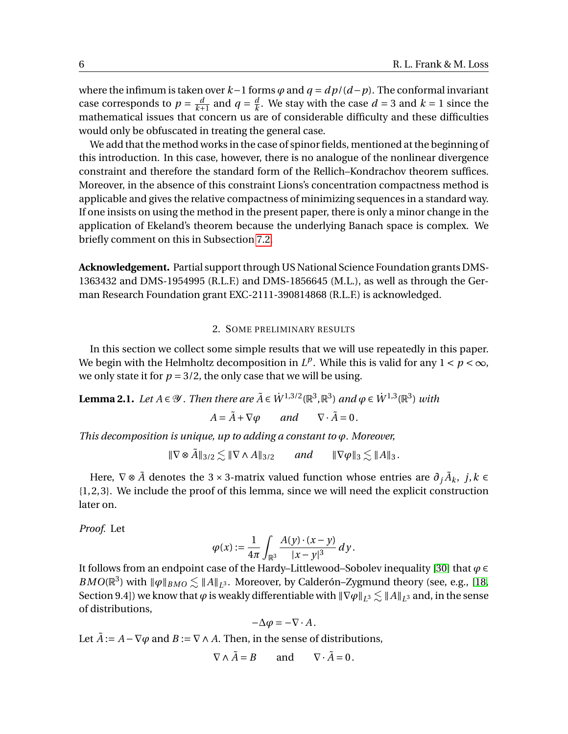where the infimum is taken over *k*−1 forms *ϕ* and *q* = *d p*/(*d*−*p*). The conformal invariant case corresponds to  $p = \frac{d}{k+1}$  and  $q = \frac{d}{k}$  $\frac{d}{k}$ . We stay with the case  $d = 3$  and  $k = 1$  since the mathematical issues that concern us are of considerable difficulty and these difficulties would only be obfuscated in treating the general case.

We add that the method works in the case of spinor fields, mentioned at the beginning of this introduction. In this case, however, there is no analogue of the nonlinear divergence constraint and therefore the standard form of the Rellich–Kondrachov theorem suffices. Moreover, in the absence of this constraint Lions's concentration compactness method is applicable and gives the relative compactness of minimizing sequences in a standard way. If one insists on using the method in the present paper, there is only a minor change in the application of Ekeland's theorem because the underlying Banach space is complex. We briefly comment on this in Subsection [7.2.](#page-20-0)

**Acknowledgement.** Partial support through US National Science Foundation grants DMS-1363432 and DMS-1954995 (R.L.F.) and DMS-1856645 (M.L.), as well as through the German Research Foundation grant EXC-2111-390814868 (R.L.F.) is acknowledged.

#### 2. SOME PRELIMINARY RESULTS

In this section we collect some simple results that we will use repeatedly in this paper. We begin with the Helmholtz decomposition in  $L^p$ . While this is valid for any  $1 < p < \infty$ , we only state it for  $p = 3/2$ , the only case that we will be using.

<span id="page-5-0"></span>**Lemma 2.1.** *Let*  $A \in \mathcal{Y}$ . *Then there are*  $\tilde{A} \in \dot{W}^{1,3/2}(\mathbb{R}^3, \mathbb{R}^3)$  *and*  $\varphi \in \dot{W}^{1,3}(\mathbb{R}^3)$  *with* 

 $A = \tilde{A} + \nabla \varphi$  *and*  $\nabla \cdot \tilde{A} = 0$ .

*This decomposition is unique, up to adding a constant to ϕ. Moreover,*

$$
\|\nabla \otimes \tilde{A}\|_{3/2} \lesssim \|\nabla \wedge A\|_{3/2} \quad \text{and} \quad \|\nabla \varphi\|_{3} \lesssim \|A\|_{3}.
$$

Here,  $\nabla \otimes \tilde{A}$  denotes the 3 × 3-matrix valued function whose entries are  $\partial_j \tilde{A}_k$ ,  $j,k \in$ {1, 2, 3}. We include the proof of this lemma, since we will need the explicit construction later on.

*Proof.* Let

$$
\varphi(x) := \frac{1}{4\pi} \int_{\mathbb{R}^3} \frac{A(y) \cdot (x - y)}{|x - y|^3} \, dy.
$$

It follows from an endpoint case of the Hardy–Littlewood–Sobolev inequality [\[30\]](#page-29-18) that *ϕ* ∈ *BMO*( $\mathbb{R}^3$ ) with  $\|\varphi\|_{BMO} \lesssim \|A\|_{L^3}$ . Moreover, by Calderón–Zygmund theory (see, e.g., [\[18,](#page-29-19) Section 9.4]) we know that  $\varphi$  is weakly differentiable with  $\|\nabla\varphi\|_{L^3} \lesssim \|A\|_{L^3}$  and, in the sense of distributions,

$$
-\Delta \varphi = -\nabla \cdot A.
$$

Let  $\tilde{A}$  :=  $A$  −  $\nabla \varphi$  and  $B$  :=  $\nabla \wedge A$ . Then, in the sense of distributions,

$$
\nabla \wedge \tilde{A} = B \quad \text{and} \quad \nabla \cdot \tilde{A} = 0.
$$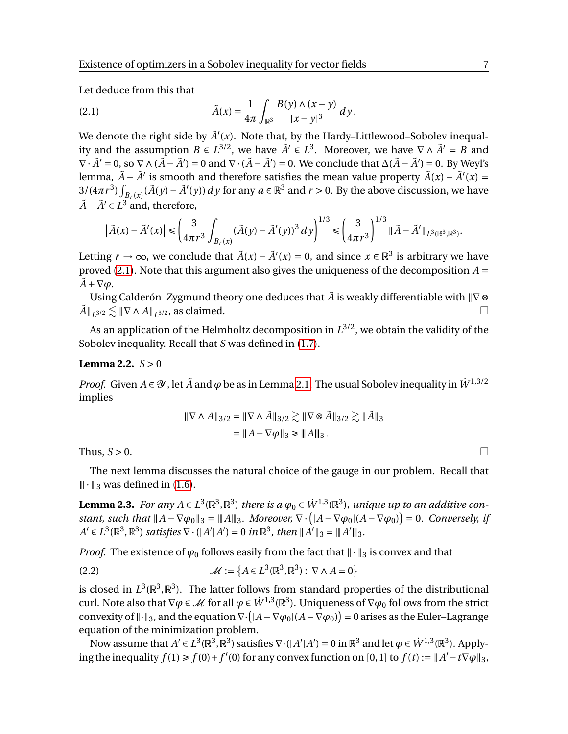Let deduce from this that

<span id="page-6-2"></span>(2.1) 
$$
\tilde{A}(x) = \frac{1}{4\pi} \int_{\mathbb{R}^3} \frac{B(y) \wedge (x - y)}{|x - y|^3} dy.
$$

We denote the right side by  $\tilde{A}'(x)$ . Note that, by the Hardy–Littlewood–Sobolev inequality and the assumption  $B \in L^{3/2}$ , we have  $\tilde{A}' \in L^3$ . Moreover, we have  $\nabla \wedge \tilde{A}' = B$  and  $\nabla \cdot \tilde{A}' = 0$ , so  $\nabla \wedge (\tilde{A} - \tilde{A}') = 0$  and  $\nabla \cdot (\tilde{A} - \tilde{A}') = 0$ . We conclude that  $\Delta(\tilde{A} - \tilde{A}') = 0$ . By Weyl's lemma,  $\tilde{A} - \tilde{A}'$  is smooth and therefore satisfies the mean value property  $\tilde{A}(x) - \tilde{A}'(x) =$  $3/(4\pi r^3)\int_{B_r(x)} (\tilde{A}(y) - \tilde{A}'(y)) dy$  for any  $a \in \mathbb{R}^3$  and  $r > 0$ . By the above discussion, we have  $\tilde{A} - \tilde{A}' \in L^3$  and, therefore,

$$
\left|\tilde{A}(x) - \tilde{A}'(x)\right| \leq \left(\frac{3}{4\pi r^3} \int_{B_r(x)} (\tilde{A}(y) - \tilde{A}'(y))^3 \, dy\right)^{1/3} \leq \left(\frac{3}{4\pi r^3}\right)^{1/3} \|\tilde{A} - \tilde{A}'\|_{L^3(\mathbb{R}^3, \mathbb{R}^3)}.
$$

Letting  $r \to \infty$ , we conclude that  $\tilde{A}(x) - \tilde{A}'(x) = 0$ , and since  $x \in \mathbb{R}^3$  is arbitrary we have proved [\(2.1\)](#page-6-2). Note that this argument also gives the uniqueness of the decomposition *A* =  $\tilde{A} + \nabla \varphi$ .

Using Calderón–Zygmund theory one deduces that  $\tilde{A}$  is weakly differentiable with  $\|\nabla \otimes$  $\tilde{A} \parallel_{L^{3/2}} \lesssim \|\nabla \wedge A\|_{L^{3/2}}$ , as claimed.

As an application of the Helmholtz decomposition in  $L^{3/2}$ , we obtain the validity of the Sobolev inequality. Recall that *S* was defined in [\(1.7\)](#page-2-1).

# <span id="page-6-0"></span>**Lemma 2.2.**  $S > 0$

*Proof.* Given  $A \in \mathcal{Y}$ , let  $\tilde{A}$  and  $\varphi$  be as in Lemma [2.1.](#page-5-0) The usual Sobolev inequality in  $\dot{W}^{1,3/2}$ implies

$$
\begin{aligned} \|\nabla \wedge A\|_{3/2} &= \|\nabla \wedge \tilde{A}\|_{3/2} \gtrsim \|\nabla \otimes \tilde{A}\|_{3/2} \gtrsim \|\tilde{A}\|_3 \\ &= \|A - \nabla \varphi\|_3 \ge \|A\|_3 \,. \end{aligned}
$$

Thus,  $S > 0$ .

The next lemma discusses the natural choice of the gauge in our problem. Recall that  $\|\cdot\|_3$  was defined in [\(1.6\)](#page-2-2).

<span id="page-6-1"></span>Lemma 2.3. For any  $A \in L^3(\mathbb{R}^3, \mathbb{R}^3)$  there is a  $\varphi_0 \in \dot{W}^{1,3}(\mathbb{R}^3)$ , unique up to an additive con*stant, such that*  $||A - \nabla \varphi_0||_3 = ||A||_3$ . Moreover,  $\nabla \cdot (|A - \nabla \varphi_0|(A - \nabla \varphi_0)) = 0$ . Conversely, if  $A' \in L^3(\mathbb{R}^3, \mathbb{R}^3)$  *satisfies*  $\nabla \cdot (|A'|A') = 0$  *in*  $\mathbb{R}^3$ *, then*  $||A'||_3 = ||A'||_3$ *.* 

*Proof.* The existence of  $\varphi_0$  follows easily from the fact that  $\|\cdot\|_3$  is convex and that

<span id="page-6-3"></span>(2.2) 
$$
\mathcal{M} := \{ A \in L^{3}(\mathbb{R}^{3}, \mathbb{R}^{3}) : \nabla \wedge A = 0 \}
$$

is closed in  $L^3(\mathbb{R}^3, \mathbb{R}^3)$ . The latter follows from standard properties of the distributional curl. Note also that  $\nabla\varphi \in \mathcal{M}$  for all  $\varphi \in \dot{W}^{1,3}(\mathbb{R}^3)$ . Uniqueness of  $\nabla\varphi_0$  follows from the strict convexity of  $\|\cdot\|_3$ , and the equation  $\nabla \cdot (A - \nabla \varphi_0 | (A - \nabla \varphi_0)) = 0$  arises as the Euler–Lagrange equation of the minimization problem.

Now assume that  $A' \in L^3(\mathbb{R}^3,\mathbb{R}^3)$  satisfies  $\nabla \cdot (|A'|A') = 0$  in  $\mathbb{R}^3$  and let  $\varphi \in \dot{W}^{1,3}(\mathbb{R}^3)$ . Applying the inequality  $f(1) \ge f(0) + f'(0)$  for any convex function on [0, 1] to  $f(t) := ||A' - t\overline{\nabla \varphi}||_3$ ,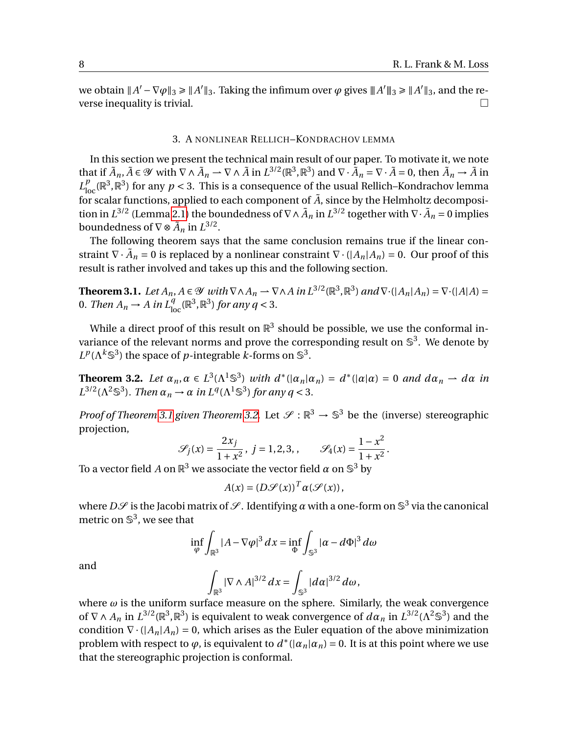we obtain  $||A'-\nabla\varphi||_3 \ge ||A'||_3$ . Taking the infimum over  $\varphi$  gives  $||A'||_3 \ge ||A'||_3$ , and the reverse inequality is trivial.

#### 3. A NONLINEAR RELLICH–KONDRACHOV LEMMA

In this section we present the technical main result of our paper. To motivate it, we note that if  $\tilde{A}_n$ ,  $\tilde{A} \in \mathcal{Y}$  with  $\nabla \wedge \tilde{A}_n \to \nabla \wedge \tilde{A}$  in  $L^{3/2}(\mathbb{R}^3, \mathbb{R}^3)$  and  $\nabla \cdot \tilde{A}_n = \nabla \cdot \tilde{A} = 0$ , then  $\tilde{A}_n \to \tilde{A}$  in  $L_{\text{loc}}^p(\mathbb{R}^3,\mathbb{R}^3)$  for any  $p < 3$ . This is a consequence of the usual Rellich–Kondrachov lemma for scalar functions, applied to each component of  $\tilde{A}$ , since by the Helmholtz decomposition in  $L^{3/2}$  (Lemma [2.1\)](#page-5-0) the boundedness of  $\nabla \wedge \tilde{A}_n$  in  $L^{3/2}$  together with  $\nabla \cdot \tilde{A}_n = 0$  implies boundedness of  $\nabla \otimes \tilde{A}_n$  in  $L^{3/2}$ .

The following theorem says that the same conclusion remains true if the linear constraint  $\nabla \cdot \tilde{A}_n = 0$  is replaced by a nonlinear constraint  $\nabla \cdot (|A_n|A_n) = 0$ . Our proof of this result is rather involved and takes up this and the following section.

<span id="page-7-0"></span>**Theorem 3.1.** *Let*  $A_n$ ,  $A \in \mathcal{Y}$  *with*  $\nabla \wedge A_n \to \nabla \wedge A$  *in*  $L^{3/2}(\mathbb{R}^3, \mathbb{R}^3)$  *and*  $\nabla \cdot (|A_n|A_n) = \nabla \cdot (|A|A) =$ 0. Then  $A_n \to A$  in  $L^q_{\text{loc}}(\mathbb{R}^3, \mathbb{R}^3)$  for any  $q < 3$ .

While a direct proof of this result on  $\mathbb{R}^3$  should be possible, we use the conformal invariance of the relevant norms and prove the corresponding result on  $\mathbb{S}^3$ . We denote by  $L^p(\Lambda^k \mathbb{S}^3)$  the space of *p*-integrable *k*-forms on  $\mathbb{S}^3$ .

<span id="page-7-1"></span>**Theorem 3.2.** Let  $\alpha_n, \alpha \in L^3(\Lambda^1 \mathbb{S}^3)$  with  $d^*(|\alpha_n| \alpha_n) = d^*(|\alpha| \alpha) = 0$  and  $d\alpha_n \to d\alpha$  in  $L^{3/2}(\Lambda^2 \mathbb{S}^3)$ *. Then*  $\alpha_n \to \alpha$  *in*  $L^q(\Lambda^1 \mathbb{S}^3)$  *for any*  $q < 3$ *.* 

*Proof of Theorem* [3.1](#page-7-0) given Theorem [3.2.](#page-7-1) Let  $\mathcal{S}: \mathbb{R}^3 \to \mathbb{S}^3$  be the (inverse) stereographic projection,

$$
\mathcal{S}_j(x) = \frac{2x_j}{1 + x^2}, \ j = 1, 2, 3, \qquad \mathcal{S}_4(x) = \frac{1 - x^2}{1 + x^2}.
$$

To a vector field  $A$  on  $\mathbb{R}^3$  we associate the vector field  $\alpha$  on  $\mathbb{S}^3$  by

$$
A(x) = (D\mathcal{S}(x))^T \alpha(\mathcal{S}(x)),
$$

where  $D\mathscr{S}$  is the Jacobi matrix of  $\mathscr{S}.$  Identifying  $\alpha$  with a one-form on  $\mathbb{S}^3$  via the canonical metric on  $\mathbb{S}^3$ , we see that

$$
\inf_{\varphi} \int_{\mathbb{R}^3} |A - \nabla \varphi|^3 dx = \inf_{\Phi} \int_{\mathbb{S}^3} |\alpha - d\Phi|^3 d\omega
$$

and

$$
\int_{\mathbb{R}^3} |\nabla \wedge A|^{3/2} dx = \int_{\mathbb{S}^3} |d\alpha|^{3/2} d\omega,
$$

where  $\omega$  is the uniform surface measure on the sphere. Similarly, the weak convergence of  $\nabla \wedge A_n$  in  $L^{3/2}(\mathbb{R}^3, \mathbb{R}^3)$  is equivalent to weak convergence of  $d\alpha_n$  in  $L^{3/2}(\Lambda^2 \mathbb{S}^3)$  and the condition  $\nabla \cdot (A_n | A_n) = 0$ , which arises as the Euler equation of the above minimization problem with respect to  $\varphi$ , is equivalent to  $d^*(|\alpha_n|\alpha_n)=0$ . It is at this point where we use that the stereographic projection is conformal.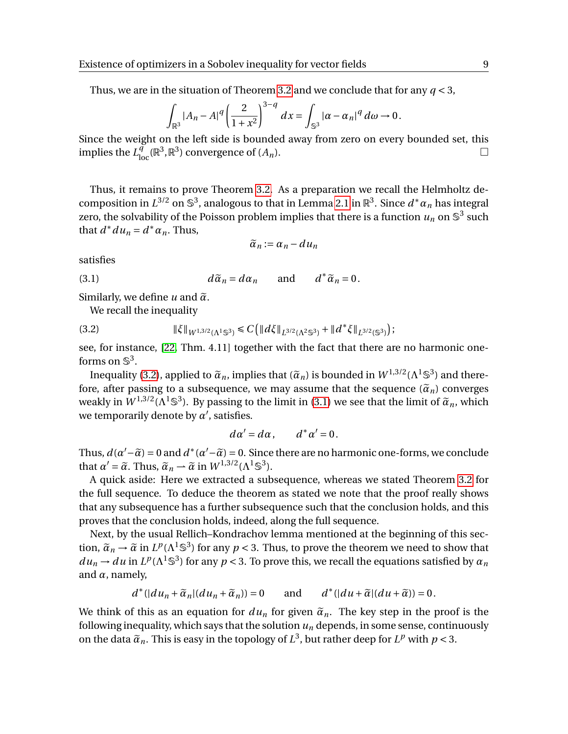Thus, we are in the situation of Theorem [3.2](#page-7-1) and we conclude that for any *q* < 3,

$$
\int_{\mathbb{R}^3} |A_n - A|^q \left(\frac{2}{1+x^2}\right)^{3-q} dx = \int_{\mathbb{S}^3} |\alpha - \alpha_n|^q d\omega \to 0.
$$

Since the weight on the left side is bounded away from zero on every bounded set, this implies the  $L^{\tilde{q}}_{\text{loc}}(\mathbb{R}^3, \mathbb{R}^3)$  convergence of  $(A_n)$ .

Thus, it remains to prove Theorem [3.2.](#page-7-1) As a preparation we recall the Helmholtz decomposition in  $L^{3/2}$  on  $\mathbb{S}^3$ , analogous to that in Lemma [2.1](#page-5-0) in  $\mathbb{R}^3$ . Since  $d^* \alpha_n$  has integral zero, the solvability of the Poisson problem implies that there is a function  $u_n$  on  $\mathbb{S}^3$  such that  $d^* du_n = d^* \alpha_n$ . Thus,

<span id="page-8-1"></span>
$$
\widetilde{\alpha}_n:=\alpha_n-d u_n
$$

satisfies

(3.1) 
$$
d\tilde{\alpha}_n = d\alpha_n \quad \text{and} \quad d^*\tilde{\alpha}_n = 0.
$$

Similarly, we define  $u$  and  $\tilde{\alpha}$ .

<span id="page-8-0"></span>We recall the inequality

$$
(3.2) \t\t\t\t\t\|\xi\|_{W^{1,3/2}(\Lambda^1\mathbb{S}^3)} \leq C\left(\|d\xi\|_{L^{3/2}(\Lambda^2\mathbb{S}^3)} + \|d^*\xi\|_{L^{3/2}(\mathbb{S}^3)}\right);
$$

see, for instance, [\[22,](#page-29-20) Thm. 4.11] together with the fact that there are no harmonic oneforms on  $\mathbb{S}^3$ .

Inequality [\(3.2\)](#page-8-0), applied to  $\tilde{\alpha}_n$ , implies that  $(\tilde{\alpha}_n)$  is bounded in  $W^{1,3/2}(\Lambda^1 \mathbb{S}^3)$  and there-<br>the accuracy of the negative to a subsequence, we may essume that the sequence  $(\tilde{\alpha})$  converges fore, after passing to a subsequence, we may assume that the sequence  $(\tilde{\alpha}_n)$  converges weakly in  $W^{1,3/2}(\Lambda^1\mathbb{S}^3)$ . By passing to the limit in [\(3.1\)](#page-8-1) we see that the limit of  $\tilde{\alpha}_n$ , which we temporarily denote by  $\alpha'$ , satisfies.

$$
d\alpha'=d\alpha, \qquad d^*\alpha'=0.
$$

Thus,  $d(\alpha' - \tilde{\alpha}) = 0$  and  $d^*(\alpha' - \tilde{\alpha}) = 0$ . Since there are no harmonic one-forms, we conclude that  $\alpha' = \tilde{\alpha}$ . Thus,  $\tilde{\alpha} = \tilde{\alpha}$  in  $W^{1,3/2}$  ( $\Lambda^{1,63}$ ) that  $\alpha' = \tilde{\alpha}$ . Thus,  $\tilde{\alpha}_n \rightarrow \tilde{\alpha}$  in  $W^{1,3/2}(\Lambda^1 \mathbb{S}^3)$ .

A quick aside: Here we extracted a subsequence, whereas we stated Theorem [3.2](#page-7-1) for the full sequence. To deduce the theorem as stated we note that the proof really shows that any subsequence has a further subsequence such that the conclusion holds, and this proves that the conclusion holds, indeed, along the full sequence.

Next, by the usual Rellich–Kondrachov lemma mentioned at the beginning of this section,  $\tilde{\alpha}_n \to \tilde{\alpha}$  in  $L^p(\Lambda^1 \mathbb{S}^3)$  for any  $p < 3$ . Thus, to prove the theorem we need to show that  $du_n \to du$  in  $L^p(\Lambda^1 \mathbb{S}^3)$  for any  $p < 3$ . To prove this, we recall the equations satisfied by  $\alpha_n$ and *α*, namely,

$$
d^*(|du_n+\widetilde{\alpha}_n|(du_n+\widetilde{\alpha}_n))=0 \quad \text{and} \quad d^*(|du+\widetilde{\alpha}|(du+\widetilde{\alpha}))=0.
$$

We think of this as an equation for  $du_n$  for given  $\tilde{a}_n$ . The key step in the proof is the following inequality, which says that the solution  $u_n$  depends, in some sense, continuously on the data  $\tilde{\alpha}_n$ . This is easy in the topology of  $L^3$ , but rather deep for  $L^p$  with  $p < 3$ .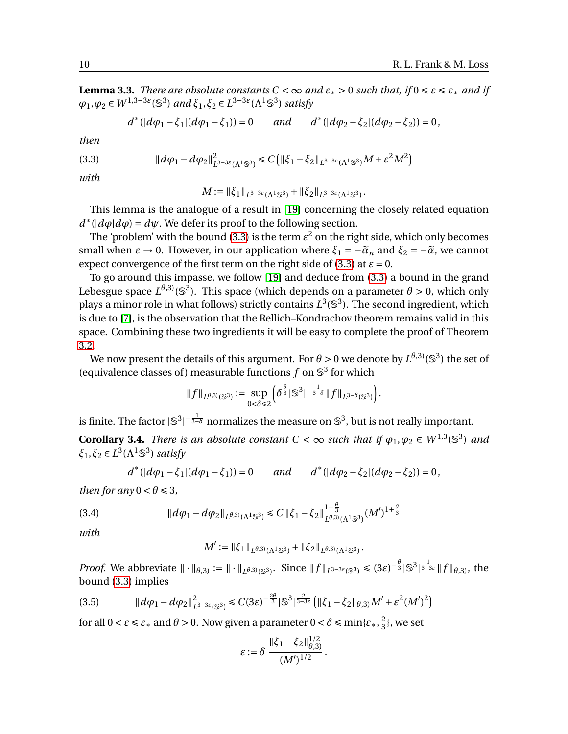<span id="page-9-2"></span>**Lemma 3.3.** *There are absolute constants C* <  $\infty$  *and*  $\varepsilon_* > 0$  *such that, if*  $0 \le \varepsilon \le \varepsilon_*$  *and if*  $\varphi_1, \varphi_2 \in W^{1,3-3\varepsilon}(\mathbb{S}^3)$  *and*  $\xi_1, \xi_2 \in L^{3-3\varepsilon}(\Lambda^1 \mathbb{S}^3)$  *satisfy* 

<span id="page-9-0"></span>
$$
d^*(|d\varphi_1 - \xi_1|(d\varphi_1 - \xi_1)) = 0 \quad and \quad d^*(|d\varphi_2 - \xi_2|(d\varphi_2 - \xi_2)) = 0,
$$

*then*

(3.3) k*dϕ*<sup>1</sup> −*dϕ*2k 2 *L* 3−3*ε* (Λ1S<sup>3</sup> ) É *C* ¡ k*ξ*<sup>1</sup> −*ξ*2k*<sup>L</sup>* 3−3*ε* (Λ1S<sup>3</sup> )*M* +*ε* <sup>2</sup>*M*<sup>2</sup> ¢

*with*

 $M := \|\xi_1\|_{L^{3-3\varepsilon}(\Lambda^1\mathbb{S}^3)} + \|\xi_2\|_{L^{3-3\varepsilon}(\Lambda^1\mathbb{S}^3)}.$ 

This lemma is the analogue of a result in [\[19\]](#page-29-21) concerning the closely related equation  $d^*(\vert d\varphi \vert d\varphi) = d\psi$ . We defer its proof to the following section.

The 'problem' with the bound [\(3.3\)](#page-9-0) is the term  $\varepsilon^2$  on the right side, which only becomes small when  $\varepsilon \to 0$ . However, in our application where  $\xi_1 = -\tilde{\alpha}_n$  and  $\xi_2 = -\tilde{\alpha}$ , we cannot expect convergence of the first term on the right side of [\(3.3\)](#page-9-0) at  $\varepsilon = 0$ .

To go around this impasse, we follow [\[19\]](#page-29-21) and deduce from [\(3.3\)](#page-9-0) a bound in the grand Lebesgue space  $L^{\theta,3)}(\mathbb{S}^3)$ . This space (which depends on a parameter  $\theta > 0$ , which only plays a minor role in what follows) strictly contains  $L^3(\mathbb{S}^3)$ . The second ingredient, which is due to [\[7\]](#page-28-6), is the observation that the Rellich–Kondrachov theorem remains valid in this space. Combining these two ingredients it will be easy to complete the proof of Theorem [3.2.](#page-7-1)

We now present the details of this argument. For  $\theta$  > 0 we denote by  $L^{\theta,3)}(\mathbb{S}^3)$  the set of (equivalence classes of) measurable functions  $f$  on  $\mathbb{S}^3$  for which

$$
\|f\|_{L^{\theta,3)}(\mathbb{S}^3)} := \sup_{0 < \delta \leq 2} \left( \delta^{\frac{\theta}{3}} |\mathbb{S}^3|^{-\frac{1}{3-\delta}} \|f\|_{L^{3-\delta}(\mathbb{S}^3)} \right).
$$

is finite. The factor  $|{\mathbb S}^3|^{-\frac{1}{3-\delta}}$  normalizes the measure on  ${\mathbb S}^3$ , but is not really important.

<span id="page-9-1"></span>**Corollary 3.4.** *There is an absolute constant*  $C < \infty$  *such that if*  $\varphi_1, \varphi_2 \in W^{1,3}(\mathbb{S}^3)$  *and*  $\xi_1, \xi_2 \in L^3(\Lambda^1 \mathbb{S}^3)$  *satisfy* 

$$
d^*(|d\varphi_1 - \xi_1|(d\varphi_1 - \xi_1)) = 0
$$
 and  $d^*(|d\varphi_2 - \xi_2|(d\varphi_2 - \xi_2)) = 0$ ,

*then for any*  $0 < \theta \leq 3$ ,

(3.4) <sup>k</sup>*dϕ*<sup>1</sup> <sup>−</sup>*dϕ*2k*<sup>L</sup> <sup>θ</sup>*,3)(Λ1S<sup>3</sup> ) <sup>É</sup> *<sup>C</sup>* <sup>k</sup>*ξ*<sup>1</sup> <sup>−</sup>*ξ*2<sup>k</sup> 1− *θ* 3 *L <sup>θ</sup>*,3)(Λ1S<sup>3</sup> ) (*M*<sup>0</sup> ) 1+ *θ* 3

*with*

$$
M' := \|\xi_1\|_{L^{\theta,3)}(\Lambda^1\mathbb{S}^3)} + \|\xi_2\|_{L^{\theta,3)}(\Lambda^1\mathbb{S}^3)}.
$$

*Proof.* We abbreviate  $\|\cdot\|_{\theta,3} := \|\cdot\|_{L^{\theta,3)}(\mathbb{S}^3)}$ . Since  $\|f\|_{L^{3-3\varepsilon}(\mathbb{S}^3)} \leq (3\varepsilon)^{-\frac{\theta}{3}} |\mathbb{S}^3|^{\frac{1}{3-3\varepsilon}} \|f\|_{\theta,3}$ , the bound [\(3.3\)](#page-9-0) implies

$$
(3.5) \t\t\t ||d\varphi_1 - d\varphi_2||_{L^{3-3\varepsilon}(\mathbb{S}^3)}^2 \leq C(3\varepsilon)^{-\frac{2\theta}{3}} |\mathbb{S}^3|^{\frac{2}{3-3\varepsilon}} \left( ||\xi_1 - \xi_2||_{\theta,3} M' + \varepsilon^2 (M')^2 \right)
$$

for all  $0 < \varepsilon \leq \varepsilon_*$  and  $\theta > 0$ . Now given a parameter  $0 < \delta \leqslant \min\{\varepsilon_*, \frac{2}{3}\}$  $\frac{2}{3}$ , we set

$$
\varepsilon := \delta \, \frac{\|\xi_1 - \xi_2\|_{\theta,3)}^{1/2}}{(M')^{1/2}}.
$$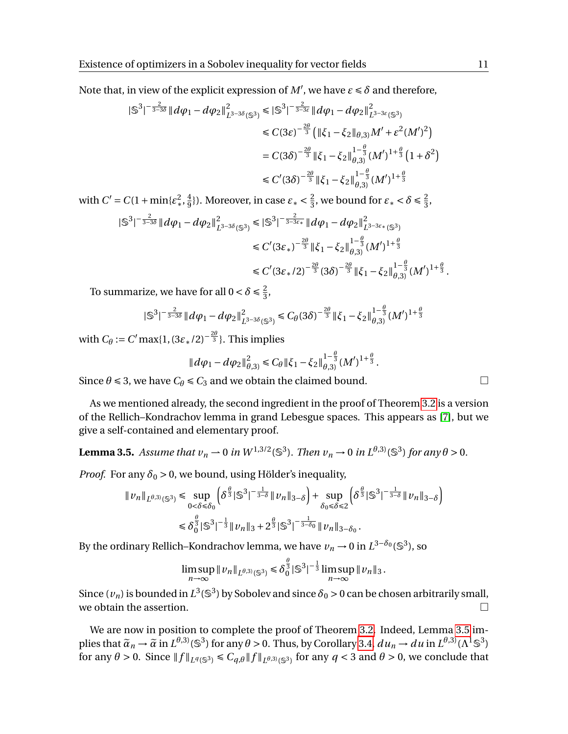Note that, in view of the explicit expression of  $M'$ , we have  $\varepsilon \leq \delta$  and therefore,

$$
\begin{split} |\mathbb{S}^{3}|^{-\frac{2}{3-3\delta}} \| d\varphi_{1} - d\varphi_{2} \|_{L^{3-3\delta}(\mathbb{S}^{3})}^{2} &\leq |\mathbb{S}^{3}|^{-\frac{2}{3-3\epsilon}} \| d\varphi_{1} - d\varphi_{2} \|_{L^{3-3\epsilon}(\mathbb{S}^{3})}^{2} \\ &\leq C(3\epsilon)^{-\frac{2\theta}{3}} \left( \|\xi_{1} - \xi_{2} \|_{\theta,3} \right) M' + \epsilon^{2} (M')^{2} \right) \\ &= C(3\delta)^{-\frac{2\theta}{3}} \| \xi_{1} - \xi_{2} \|_{\theta,3}^{1-\frac{\theta}{3}} (M')^{1+\frac{\theta}{3}} \left( 1 + \delta^{2} \right) \\ &\leq C'(3\delta)^{-\frac{2\theta}{3}} \| \xi_{1} - \xi_{2} \|_{\theta,3}^{1-\frac{\theta}{3}} (M')^{1+\frac{\theta}{3}} \end{split}
$$

with  $C' = C(1 + \min{\{\varepsilon_*^2, \frac{4}{9}\}})$  $\frac{4}{9}$ }). Moreover, in case  $\varepsilon_* < \frac{2}{3}$  $\frac{2}{3}$ , we bound for  $\varepsilon_* < \delta \leq \frac{2}{3}$  $\frac{2}{3}$ ,

$$
\begin{split} |\mathbb{S}^{3}|^{-\frac{2}{3-3\delta}} \| d\varphi_{1} - d\varphi_{2} \|_{L^{3-3\delta}(\mathbb{S}^{3})}^{2} \leq |\mathbb{S}^{3}|^{-\frac{2}{3-3\varepsilon_{*}}} \| d\varphi_{1} - d\varphi_{2} \|_{L^{3-3\varepsilon_{*}}(\mathbb{S}^{3})}^{2} \\ \leq C'(3\varepsilon_{*})^{-\frac{2\theta}{3}} \| \xi_{1} - \xi_{2} \|_{\theta,3}^{1-\frac{\theta}{3}} (M')^{1+\frac{\theta}{3}} \\ \leq C'(3\varepsilon_{*}/2)^{-\frac{2\theta}{3}} (3\delta)^{-\frac{2\theta}{3}} \| \xi_{1} - \xi_{2} \|_{\theta,3}^{1-\frac{\theta}{3}} (M')^{1+\frac{\theta}{3}}. \end{split}
$$

To summarize, we have for all  $0 < \delta \leq \frac{2}{3}$  $\frac{2}{3}$ ,

$$
|\mathbb{S}^3|^{-\frac{2}{3-3\delta}} \|d\varphi_1 - d\varphi_2\|_{L^{3-3\delta}(\mathbb{S}^3)}^2 \leq C_\theta (3\delta)^{-\frac{2\theta}{3}} \|\xi_1 - \xi_2\|_{\theta,3}^{1-\frac{\theta}{3}} (M')^{1+\frac{\theta}{3}}
$$

with  $C_\theta := C' \max\{1, (3\varepsilon_*/2)^{-\frac{2\theta}{3}}\}$ . This implies

$$
||d\varphi_1 - d\varphi_2||_{\theta,3}^2 \leq C_\theta ||\xi_1 - \xi_2||_{\theta,3}^{1-\frac{\theta}{3}} (M')^{1+\frac{\theta}{3}}.
$$

Since  $\theta \le 3$ , we have  $C_{\theta} \le C_3$  and we obtain the claimed bound.

As we mentioned already, the second ingredient in the proof of Theorem [3.2](#page-7-1) is a version of the Rellich–Kondrachov lemma in grand Lebesgue spaces. This appears as [\[7\]](#page-28-6), but we give a self-contained and elementary proof.

<span id="page-10-0"></span>**Lemma 3.5.** *Assume that*  $v_n \to 0$  *in*  $W^{1,3/2}(\mathbb{S}^3)$ *. Then*  $v_n \to 0$  *in*  $L^{\theta,3)}(\mathbb{S}^3)$  *for any*  $\theta > 0$ *.* 

*Proof.* For any  $\delta_0 > 0$ , we bound, using Hölder's inequality,

$$
||v_n||_{L^{\theta,3)}(\mathbb{S}^3)} \le \sup_{0 < \delta \le \delta_0} \left( \delta^{\frac{\theta}{3}} |\mathbb{S}^3|^{-\frac{1}{3-\delta}} ||v_n||_{3-\delta} \right) + \sup_{\delta_0 \le \delta \le 2} \left( \delta^{\frac{\theta}{3}} |\mathbb{S}^3|^{-\frac{1}{3-\delta}} ||v_n||_{3-\delta} \right)
$$
  

$$
\le \delta_0^{\frac{\theta}{3}} |\mathbb{S}^3|^{-\frac{1}{3}} ||v_n||_3 + 2^{\frac{\theta}{3}} |\mathbb{S}^3|^{-\frac{1}{3-\delta_0}} ||v_n||_{3-\delta_0}.
$$

By the ordinary Rellich–Kondrachov lemma, we have  $\nu_n \to 0$  in  $L^{3-\delta_0}(\mathbb{S}^3)$ , so

$$
\limsup_{n \to \infty} ||v_n||_{L^{\theta,3}(\mathbb{S}^3)} \leq \delta_0^{\frac{\theta}{3}} |\mathbb{S}^3|^{-\frac{1}{3}} \limsup_{n \to \infty} ||v_n||_3.
$$

Since  $(v_n)$  is bounded in  $L^3(\mathbb{S}^3)$  by Sobolev and since  $\delta_0 > 0$  can be chosen arbitrarily small, we obtain the assertion.  $\Box$ 

We are now in position to complete the proof of Theorem [3.2.](#page-7-1) Indeed, Lemma [3.5](#page-10-0) implies that  $\tilde{\alpha}_n \to \tilde{\alpha}$  in  $L^{\theta,3}(\mathbb{S}^3)$  for any  $\theta > 0$ . Thus, by Corollary [3.4,](#page-9-1)  $d u_n \to d u$  in  $L^{\theta,3}(\Lambda^1 \mathbb{S}^3)$ for any  $\theta > 0$ . Since  $|| f ||_{L^q(\mathbb{S}^3)} \leq C_{q,\theta} || f ||_{L^{\theta,3)}(\mathbb{S}^3)}$  for any  $q < 3$  and  $\theta > 0$ , we conclude that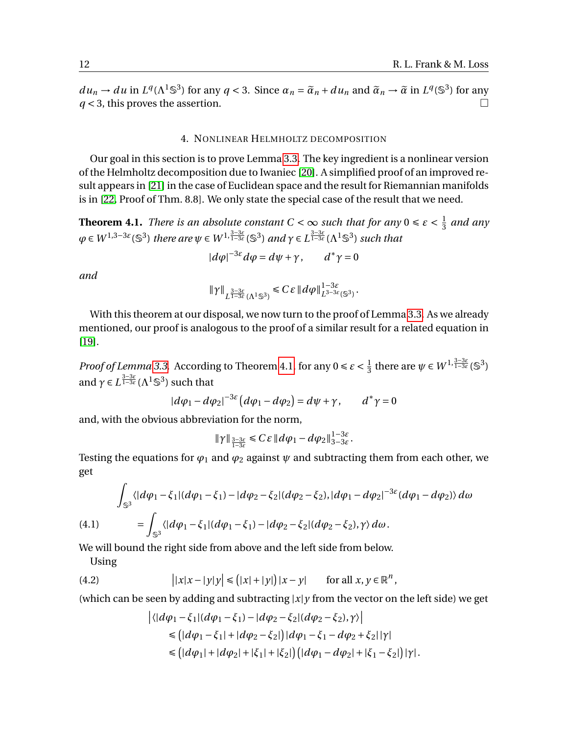$du_n \to du$  in  $L^q(\Lambda^1 \mathbb{S}^3)$  for any  $q < 3$ . Since  $\alpha_n = \tilde{\alpha}_n + du_n$  and  $\tilde{\alpha}_n \to \tilde{\alpha}$  in  $L^q(\mathbb{S}^3)$  for any  $\alpha_n \to 3$  this proves the assortion  $q < 3$ , this proves the assertion.

# 4. NONLINEAR HELMHOLTZ DECOMPOSITION

Our goal in this section is to prove Lemma [3.3.](#page-9-2) The key ingredient is a nonlinear version of the Helmholtz decomposition due to Iwaniec [\[20\]](#page-29-17). A simplified proof of an improved result appears in [\[21\]](#page-29-22) in the case of Euclidean space and the result for Riemannian manifolds is in [\[22,](#page-29-20) Proof of Thm. 8.8]. We only state the special case of the result that we need.

<span id="page-11-0"></span>**Theorem 4.1.** *There is an absolute constant*  $C < \infty$  *such that for any*  $0 \le \varepsilon < \frac{1}{3}$  $rac{1}{3}$  and any  $\varphi \in W^{1,3-3\epsilon}(\mathbb{S}^3)$  there are  $\psi \in W^{1,\frac{3-3\epsilon}{1-3\epsilon}}(\mathbb{S}^3)$  and  $\gamma \in L^{\frac{3-3\epsilon}{1-3\epsilon}}(\Lambda^1\mathbb{S}^3)$  such that

$$
|d\varphi|^{-3\varepsilon}d\varphi = d\psi + \gamma, \qquad d^*\gamma = 0
$$

*and*

$$
\|\gamma\|_{L^{\frac{3-3\varepsilon}{1-3\varepsilon}}(\Lambda^1\mathbb{S}^3)}\leq C\varepsilon\, \|d\varphi\|_{L^{3-3\varepsilon}(\mathbb{S}^3)}^{1-3\varepsilon}
$$

.

With this theorem at our disposal, we now turn to the proof of Lemma [3.3.](#page-9-2) As we already mentioned, our proof is analogous to the proof of a similar result for a related equation in [\[19\]](#page-29-21).

*Proof of Lemma* [3.3.](#page-9-2) According to Theorem [4.1,](#page-11-0) for any  $0 \le \varepsilon < \frac{1}{3}$  $\frac{1}{3}$  there are  $\psi \in W^{1, \frac{3-3\varepsilon}{1-3\varepsilon}}(\mathbb{S}^3)$ and  $\gamma \in L^{\frac{3-3\varepsilon}{1-3\varepsilon}}(\Lambda^1 \mathbb{S}^3)$  such that

$$
|d\varphi_1 - d\varphi_2|^{-3\varepsilon} (d\varphi_1 - d\varphi_2) = d\psi + \gamma, \qquad d^*\gamma = 0
$$

and, with the obvious abbreviation for the norm,

$$
\|\gamma\|_{\frac{3-3\varepsilon}{1-3\varepsilon}}\leq C\varepsilon\, \|d\varphi_1-d\varphi_2\|_{3-3\varepsilon}^{1-3\varepsilon}.
$$

Testing the equations for  $\varphi_1$  and  $\varphi_2$  against  $\psi$  and subtracting them from each other, we get

<span id="page-11-1"></span>
$$
\int_{\mathbb{S}^3} \langle |d\varphi_1 - \xi_1| (d\varphi_1 - \xi_1) - |d\varphi_2 - \xi_2| (d\varphi_2 - \xi_2), |d\varphi_1 - d\varphi_2|^{-3\varepsilon} (d\varphi_1 - d\varphi_2) \rangle d\omega
$$
\n(4.1) 
$$
= \int_{\mathbb{S}^3} \langle |d\varphi_1 - \xi_1| (d\varphi_1 - \xi_1) - |d\varphi_2 - \xi_2| (d\varphi_2 - \xi_2), \gamma \rangle d\omega.
$$

We will bound the right side from above and the left side from below.

Using

(4.2) 
$$
\left| |x|x-|y|y| \leq (|x|+|y|) |x-y| \quad \text{for all } x, y \in \mathbb{R}^n,
$$

(which can be seen by adding and subtracting  $|x|y$  from the vector on the left side) we get

<span id="page-11-2"></span>
$$
\begin{aligned} \left| \langle |d\varphi_1 - \xi_1| (d\varphi_1 - \xi_1) - |d\varphi_2 - \xi_2| (d\varphi_2 - \xi_2), \gamma \rangle \right| \\ &\leq \left( |d\varphi_1 - \xi_1| + |d\varphi_2 - \xi_2| \right) |d\varphi_1 - \xi_1 - d\varphi_2 + \xi_2| |\gamma| \\ &\leq \left( |d\varphi_1| + |d\varphi_2| + |\xi_1| + |\xi_2| \right) \left( |d\varphi_1 - d\varphi_2| + |\xi_1 - \xi_2| \right) |\gamma|. \end{aligned}
$$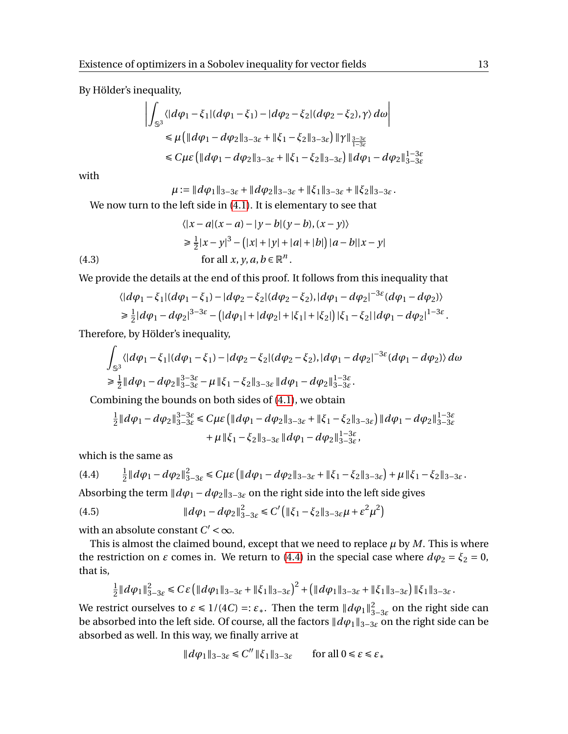By Hölder's inequality,

$$
\left| \int_{\mathbb{S}^3} \langle |d\varphi_1 - \xi_1| (d\varphi_1 - \xi_1) - |d\varphi_2 - \xi_2| (d\varphi_2 - \xi_2), \gamma \rangle d\omega \right|
$$
  
\n
$$
\leq \mu \left( \|d\varphi_1 - d\varphi_2\|_{3-3\varepsilon} + \|\xi_1 - \xi_2\|_{3-3\varepsilon} \right) \| \gamma \|_{\frac{3-3\varepsilon}{1-3\varepsilon}} \leq C \mu \varepsilon \left( \|d\varphi_1 - d\varphi_2\|_{3-3\varepsilon} + \|\xi_1 - \xi_2\|_{3-3\varepsilon} \right) \|d\varphi_1 - d\varphi_2\|_{3-3\varepsilon}^{1-3\varepsilon}
$$

with

$$
\mu := \|d\varphi_1\|_{3-3\varepsilon} + \|d\varphi_2\|_{3-3\varepsilon} + \|\xi_1\|_{3-3\varepsilon} + \|\xi_2\|_{3-3\varepsilon}.
$$

We now turn to the left side in [\(4.1\)](#page-11-1). It is elementary to see that

(4.3)  
\n
$$
\langle |x-a|(x-a) - |y-b|(y-b), (x-y) \rangle
$$
\n
$$
\geq \frac{1}{2}|x-y|^3 - (|x|+|y|+|a|+|b|)|a-b||x-y|
$$
\nfor all  $x, y, a, b \in \mathbb{R}^n$ .

<span id="page-12-2"></span>We provide the details at the end of this proof. It follows from this inequality that

$$
\langle |d\varphi_1 - \xi_1| (d\varphi_1 - \xi_1) - |d\varphi_2 - \xi_2| (d\varphi_2 - \xi_2), |d\varphi_1 - d\varphi_2|^{-3\varepsilon} (d\varphi_1 - d\varphi_2) \rangle
$$
  
\n
$$
\geq \frac{1}{2} |d\varphi_1 - d\varphi_2|^{3-3\varepsilon} - (|d\varphi_1| + |d\varphi_2| + |\xi_1| + |\xi_2|) |\xi_1 - \xi_2| |d\varphi_1 - d\varphi_2|^{1-3\varepsilon}.
$$

Therefore, by Hölder's inequality,

$$
\int_{\mathbb{S}^3} \langle |d\varphi_1 - \xi_1| (d\varphi_1 - \xi_1) - |d\varphi_2 - \xi_2| (d\varphi_2 - \xi_2), |d\varphi_1 - d\varphi_2|^{-3\varepsilon} (d\varphi_1 - d\varphi_2) \rangle d\omega
$$
\n
$$
\geq \frac{1}{2} ||d\varphi_1 - d\varphi_2||_{3-3\varepsilon}^{3-3\varepsilon} - \mu ||\xi_1 - \xi_2||_{3-3\varepsilon} ||d\varphi_1 - d\varphi_2||_{3-3\varepsilon}^{1-3\varepsilon}.
$$

Combining the bounds on both sides of [\(4.1\)](#page-11-1), we obtain

$$
\begin{aligned} \tfrac{1}{2} \| d \varphi_1 - d \varphi_2 \|_{3-3 \varepsilon}^{3-3 \varepsilon} &\leq C \mu \varepsilon \left( \| d \varphi_1 - d \varphi_2 \|_{3-3 \varepsilon} + \| \xi_1 - \xi_2 \|_{3-3 \varepsilon} \right) \| d \varphi_1 - d \varphi_2 \|_{3-3 \varepsilon}^{1-3 \varepsilon} \\ &\qquad + \mu \| \xi_1 - \xi_2 \|_{3-3 \varepsilon} \| d \varphi_1 - d \varphi_2 \|_{3-3 \varepsilon}^{1-3 \varepsilon}, \end{aligned}
$$

which is the same as

<span id="page-12-0"></span>(4.4) 
$$
\frac{1}{2}||d\varphi_1 - d\varphi_2||_{3-3\varepsilon}^2 \le C\mu\varepsilon \left( ||d\varphi_1 - d\varphi_2||_{3-3\varepsilon} + ||\xi_1 - \xi_2||_{3-3\varepsilon} \right) + \mu ||\xi_1 - \xi_2||_{3-3\varepsilon}.
$$

<span id="page-12-1"></span>(4.5) 
$$
||d\varphi_1 - d\varphi_2||_{3-3\varepsilon}^2 \leq C' (||\xi_1 - \xi_2||_{3-3\varepsilon}\mu + \varepsilon^2\mu^2)
$$

with an absolute constant  $C' < \infty$ .

This is almost the claimed bound, except that we need to replace  $\mu$  by  $M$ . This is where the restriction on *ε* comes in. We return to [\(4.4\)](#page-12-0) in the special case where  $dφ_2 = \xi_2 = 0$ , that is,

$$
\frac{1}{2}||d\varphi_1||_{3-3\varepsilon}^2 \leq C\varepsilon \left( ||d\varphi_1||_{3-3\varepsilon} + ||\xi_1||_{3-3\varepsilon} \right)^2 + \left( ||d\varphi_1||_{3-3\varepsilon} + ||\xi_1||_{3-3\varepsilon} \right) ||\xi_1||_{3-3\varepsilon}.
$$

We restrict ourselves to  $\varepsilon \le 1/(4C) =: \varepsilon_*$ . Then the term  $|| d\varphi_1||_{3-3\varepsilon}^2$  on the right side can be absorbed into the left side. Of course, all the factors  $\Vert d\varphi_1 \Vert_{3-3\varepsilon}$  on the right side can be absorbed as well. In this way, we finally arrive at

$$
\|d\varphi_1\|_{3-3\varepsilon} \leq C'' \|\xi_1\|_{3-3\varepsilon} \qquad \text{for all } 0 \leq \varepsilon \leq \varepsilon_*
$$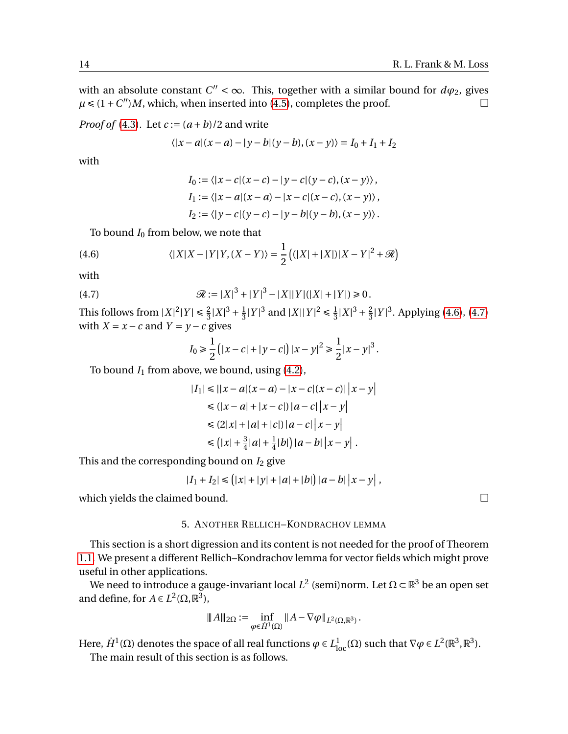with an absolute constant  $C'' < \infty$ . This, together with a similar bound for  $d\varphi_2$ , gives  $\mu \leq (1+C'')M$ , which, when inserted into [\(4.5\)](#page-12-1), completes the proof.

*Proof of* [\(4.3\)](#page-12-2). Let  $c := (a + b)/2$  and write

$$
\langle |x-a|(x-a) - |y-b|(y-b), (x-y) \rangle = I_0 + I_1 + I_2
$$

with

<span id="page-13-0"></span>
$$
I_0 := \langle |x - c|(x - c) - |y - c|(y - c), (x - y) \rangle,
$$
  
\n
$$
I_1 := \langle |x - a|(x - a) - |x - c|(x - c), (x - y) \rangle,
$$
  
\n
$$
I_2 := \langle |y - c|(y - c) - |y - b|(y - b), (x - y) \rangle.
$$

To bound  $I_0$  from below, we note that

(4.6) 
$$
\langle |X|X - |Y|Y, (X - Y) \rangle = \frac{1}{2} \left( (|X| + |X|) |X - Y|^2 + \mathcal{R} \right)
$$

with

(4.7) 
$$
\mathcal{R} := |X|^3 + |Y|^3 - |X||Y|(|X| + |Y|) \ge 0.
$$

This follows from  $|X|^2 |Y| \le \frac{2}{3} |X|^3 + \frac{1}{3}$  $\frac{1}{3}|Y|^3$  and  $|X||Y|^2 \le \frac{1}{3}$  $\frac{1}{3}|X|^3 + \frac{2}{3}$  $\frac{2}{3}|Y|^3$ . Applying [\(4.6\)](#page-13-0), [\(4.7\)](#page-13-1) with  $X = x - c$  and  $Y = y - c$  gives

<span id="page-13-1"></span>
$$
I_0 \ge \frac{1}{2} (|x - c| + |y - c|) |x - y|^2 \ge \frac{1}{2} |x - y|^3.
$$

To bound  $I_1$  from above, we bound, using  $(4.2)$ ,

$$
|I_1| \le ||x - a|(x - a) - |x - c|(x - c)| |x - y|
$$
  
\n
$$
\le (|x - a| + |x - c|) |a - c| |x - y|
$$
  
\n
$$
\le (2|x| + |a| + |c|) |a - c| |x - y|
$$
  
\n
$$
\le (|x| + \frac{3}{4}|a| + \frac{1}{4}|b|) |a - b| |x - y|.
$$

This and the corresponding bound on  $I_2$  give

$$
|I_1 + I_2| \leq (|x| + |y| + |a| + |b|) |a - b| |x - y|,
$$

which yields the claimed bound.  $\square$ 

#### 5. ANOTHER RELLICH–KONDRACHOV LEMMA

This section is a short digression and its content is not needed for the proof of Theorem [1.1.](#page-2-0) We present a different Rellich–Kondrachov lemma for vector fields which might prove useful in other applications.

We need to introduce a gauge-invariant local  $L^2$  (semi)norm. Let  $\Omega$  ⊂  $\mathbb{R}^3$  be an open set and define, for  $A \in L^2(\Omega, \mathbb{R}^3)$ ,

$$
|||A||||_{2\Omega} := \inf_{\varphi \in \dot{H}^1(\Omega)} ||A - \nabla \varphi||_{L^2(\Omega, \mathbb{R}^3)}.
$$

Here,  $\dot{H}^1(\Omega)$  denotes the space of all real functions  $\varphi \in L^1_{loc}(\Omega)$  such that  $\nabla \varphi \in L^2(\mathbb{R}^3, \mathbb{R}^3)$ . The main result of this section is as follows.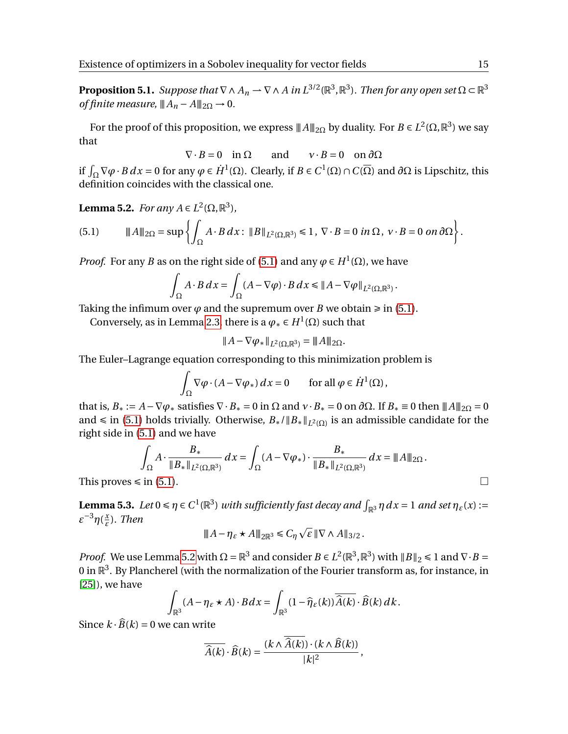<span id="page-14-2"></span>**Proposition 5.1.** Suppose that  $\nabla \wedge A_n \to \nabla \wedge A$  in  $L^{3/2}(\mathbb{R}^3, \mathbb{R}^3)$ . Then for any open set  $\Omega \subset \mathbb{R}^3$ *of finite measure,*  $||A_n - A||_{2\Omega} \rightarrow 0$ .

For the proof of this proposition, we express  $||A||_{2\Omega}$  by duality. For  $B\in L^2(\Omega,\mathbb{R}^3)$  we say that

$$
\nabla \cdot B = 0 \quad \text{in } \Omega \qquad \text{and} \qquad v \cdot B = 0 \quad \text{on } \partial \Omega
$$

if  $\int_{\Omega} \nabla \varphi \cdot B \, dx = 0$  for any  $\varphi \in \dot{H}^1(\Omega)$ . Clearly, if *B* ∈ *C*<sup>1</sup>(Ω) ∩ *C*( $\overline{\Omega}$ ) and *∂*Ω is Lipschitz, this definition coincides with the classical one.

<span id="page-14-1"></span>**Lemma 5.2.** *For any*  $A \in L^2(\Omega, \mathbb{R}^3)$ *,* 

<span id="page-14-0"></span>(5.1) 
$$
\|A\|_{2\Omega} = \sup \left\{ \int_{\Omega} A \cdot B dx : \|B\|_{L^{2}(\Omega,\mathbb{R}^{3})} \leq 1, \ \nabla \cdot B = 0 \ in \ \Omega, \ \nu \cdot B = 0 \ on \ \partial\Omega \right\}.
$$

*Proof.* For any *B* as on the right side of [\(5.1\)](#page-14-0) and any  $\varphi \in H^1(\Omega)$ , we have

$$
\int_{\Omega} A \cdot B \, dx = \int_{\Omega} (A - \nabla \varphi) \cdot B \, dx \le \|A - \nabla \varphi\|_{L^2(\Omega, \mathbb{R}^3)}.
$$

Taking the infimum over  $\varphi$  and the supremum over *B* we obtain  $\geq$  in [\(5.1\)](#page-14-0).

Conversely, as in Lemma [2.3,](#page-6-1) there is a  $\varphi_* \in H^1(\Omega)$  such that

$$
||A - \nabla \varphi_*||_{L^2(\Omega, \mathbb{R}^3)} = ||A||_{2\Omega}.
$$

The Euler–Lagrange equation corresponding to this minimization problem is

$$
\int_{\Omega} \nabla \varphi \cdot (A - \nabla \varphi_*) dx = 0 \quad \text{for all } \varphi \in \dot{H}^1(\Omega),
$$

that is,  $B_* := A - \nabla \varphi_*$  satisfies  $\nabla \cdot B_* = 0$  in  $\Omega$  and  $\nu \cdot B_* = 0$  on  $\partial \Omega$ . If  $B_* \equiv 0$  then  $||A||_{2\Omega} = 0$ and  $\leq$  in [\(5.1\)](#page-14-0) holds trivially. Otherwise,  $B_* / \|B_* \|_{L^2(\Omega)}$  is an admissible candidate for the right side in [\(5.1\)](#page-14-0) and we have

$$
\int_{\Omega} A \cdot \frac{B_{*}}{\|B_{*}\|_{L^{2}(\Omega,\mathbb{R}^{3})}} dx = \int_{\Omega} (A - \nabla \varphi_{*}) \cdot \frac{B_{*}}{\|B_{*}\|_{L^{2}(\Omega,\mathbb{R}^{3})}} dx = \|A\|_{2\Omega}.
$$
  
This proves  $\leq$  in (5.1).

<span id="page-14-3"></span>**Lemma 5.3.** Let  $0 \le \eta \in C^1(\mathbb{R}^3)$  with sufficiently fast decay and  $\int_{\mathbb{R}^3} \eta \, dx = 1$  and set  $\eta_{\varepsilon}(x) :=$ *ε* <sup>−</sup>3*η*( *x ε* )*. Then*

$$
||A - \eta_{\varepsilon} \star A||_{2\mathbb{R}^3} \leq C_{\eta} \sqrt{\varepsilon} ||\nabla \wedge A||_{3/2}.
$$

*Proof.* We use Lemma [5.2](#page-14-1) with  $\Omega = \mathbb{R}^3$  and consider  $B \in L^2(\mathbb{R}^3, \mathbb{R}^3)$  with  $||B||_2 \le 1$  and  $\nabla \cdot B =$ 0 in  $\mathbb{R}^3$ . By Plancherel (with the normalization of the Fourier transform as, for instance, in [\[25\]](#page-29-3)), we have

$$
\int_{\mathbb{R}^3} (A - \eta_{\varepsilon} \star A) \cdot B dx = \int_{\mathbb{R}^3} (1 - \widehat{\eta}_{\varepsilon}(k)) \overline{\widehat{A}(k)} \cdot \widehat{B}(k) dk.
$$

Since  $k \cdot \widehat{B}(k) = 0$  we can write

$$
\overline{\widehat{A}(k)}\cdot\widehat{B}(k)=\frac{(k\wedge\widehat{A}(k))\cdot(k\wedge\widehat{B}(k))}{|k|^2},
$$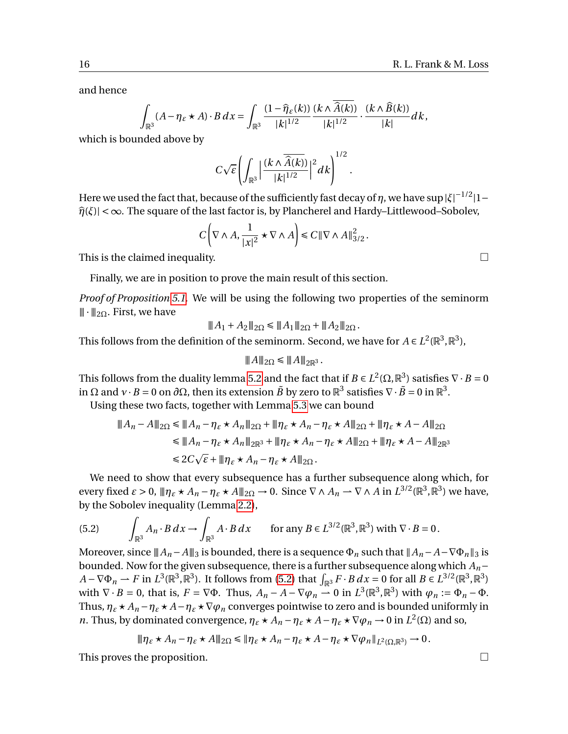and hence

$$
\int_{\mathbb{R}^3} (A - \eta_{\varepsilon} \star A) \cdot B \, dx = \int_{\mathbb{R}^3} \frac{(1 - \widehat{\eta}_{\varepsilon}(k))}{|k|^{1/2}} \frac{(k \wedge \widehat{A}(k))}{|k|^{1/2}} \cdot \frac{(k \wedge \widehat{B}(k))}{|k|} dk,
$$

which is bounded above by

$$
C\sqrt{\varepsilon}\left(\int_{\mathbb{R}^3}\left|\frac{(k\wedge\overline{\widehat{A}(k)})}{|k|^{1/2}}\right|^2dk\right)^{1/2}
$$

.

Here we used the fact that, because of the sufficiently fast decay of  $\eta$ , we have  $\sup|\xi|^{-1/2}|1-\xi|$  $\hat{\eta}(\xi)$ | < ∞. The square of the last factor is, by Plancherel and Hardy–Littlewood–Sobolev,

$$
C\left(\nabla\wedge A, \frac{1}{|x|^2}\star\nabla\wedge A\right)\leq C\|\nabla\wedge A\|_{3/2}^2.
$$

This is the claimed inequality.  $\Box$ 

Finally, we are in position to prove the main result of this section.

*Proof of Proposition [5.1.](#page-14-2)* We will be using the following two properties of the seminorm  $\|\cdot\|_{2\Omega}$ . First, we have

$$
|||A_1 + A_2||_{2\Omega} \le |||A_1||_{2\Omega} + |||A_2||_{2\Omega}.
$$

This follows from the definition of the seminorm. Second, we have for  $A \in L^2(\mathbb{R}^3, \mathbb{R}^3)$ ,

$$
|\!|\!| A |\!|\!|_{2\Omega}\leq |\!|\!| A |\!|\!|_{2\mathbb{R}^3}.
$$

This follows from the duality lemma [5.2](#page-14-1) and the fact that if  $B \in L^2(\Omega,\mathbb{R}^3)$  satisfies  $\nabla \cdot B = 0$ in Ω and  $v\cdot B=0$  on  $\partial\Omega$ , then its extension  $\tilde{B}$  by zero to  $\mathbb{R}^3$  satisfies  $\nabla\cdot\tilde{B}=0$  in  $\mathbb{R}^3.$ 

Using these two facts, together with Lemma [5.3](#page-14-3) we can bound

$$
\begin{aligned}\n\|A_n - A\|_{2\Omega} &\le \|A_n - \eta_{\varepsilon} \star A_n\|_{2\Omega} + \|\eta_{\varepsilon} \star A_n - \eta_{\varepsilon} \star A\|_{2\Omega} + \|\eta_{\varepsilon} \star A - A\|_{2\Omega} \\
&\le \|A_n - \eta_{\varepsilon} \star A_n\|_{2\mathbb{R}^3} + \|\eta_{\varepsilon} \star A_n - \eta_{\varepsilon} \star A\|_{2\Omega} + \|\eta_{\varepsilon} \star A - A\|_{2\mathbb{R}^3} \\
&\le 2C\sqrt{\varepsilon} + \|\eta_{\varepsilon} \star A_n - \eta_{\varepsilon} \star A\|_{2\Omega}.\n\end{aligned}
$$

We need to show that every subsequence has a further subsequence along which, for every fixed  $\varepsilon > 0$ ,  $\|\eta_{\varepsilon} \star A_n - \eta_{\varepsilon} \star A\|_{2\Omega} \to 0$ . Since  $\nabla \wedge A_n \to \nabla \wedge A$  in  $L^{3/2}(\mathbb{R}^3, \mathbb{R}^3)$  we have, by the Sobolev inequality (Lemma [2.2\)](#page-6-0),

<span id="page-15-0"></span>(5.2) 
$$
\int_{\mathbb{R}^3} A_n \cdot B \, dx \to \int_{\mathbb{R}^3} A \cdot B \, dx \quad \text{for any } B \in L^{3/2}(\mathbb{R}^3, \mathbb{R}^3) \text{ with } \nabla \cdot B = 0.
$$

Moreover, since  $||A_n - A||_3$  is bounded, there is a sequence  $\Phi_n$  such that  $||A_n - A - \nabla \Phi_n||_3$  is bounded. Now for the given subsequence, there is a further subsequence along which *An*−  $A - \nabla \Phi_n \rightharpoonup F$  in  $L^3(\mathbb{R}^3, \mathbb{R}^3)$ . It follows from [\(5.2\)](#page-15-0) that  $\int_{\mathbb{R}^3} F \cdot B \, dx = 0$  for all  $B \in L^{3/2}(\mathbb{R}^3, \mathbb{R}^3)$ with  $\nabla \cdot B = 0$ , that is,  $F = \nabla \Phi$ . Thus,  $A_n - A - \nabla \varphi_n \to 0$  in  $L^3(\mathbb{R}^3, \mathbb{R}^3)$  with  $\varphi_n := \Phi_n - \Phi$ . Thus,  $\eta_{\varepsilon} \star A_n - \eta_{\varepsilon} \star A - \eta_{\varepsilon} \star \nabla \varphi_n$  converges pointwise to zero and is bounded uniformly in *n*. Thus, by dominated convergence,  $\eta_{\varepsilon} \star A_n - \eta_{\varepsilon} \star A - \eta_{\varepsilon} \star \nabla \varphi_n \to 0$  in  $L^2(\Omega)$  and so,

$$
\|\eta_{\varepsilon}\star A_n-\eta_{\varepsilon}\star A\|_{2\Omega}\leq \|\eta_{\varepsilon}\star A_n-\eta_{\varepsilon}\star A-\eta_{\varepsilon}\star\nabla\varphi_n\|_{L^2(\Omega,\mathbb{R}^3)}\to 0.
$$

This proves the proposition.

$$
\qquad \qquad \Box
$$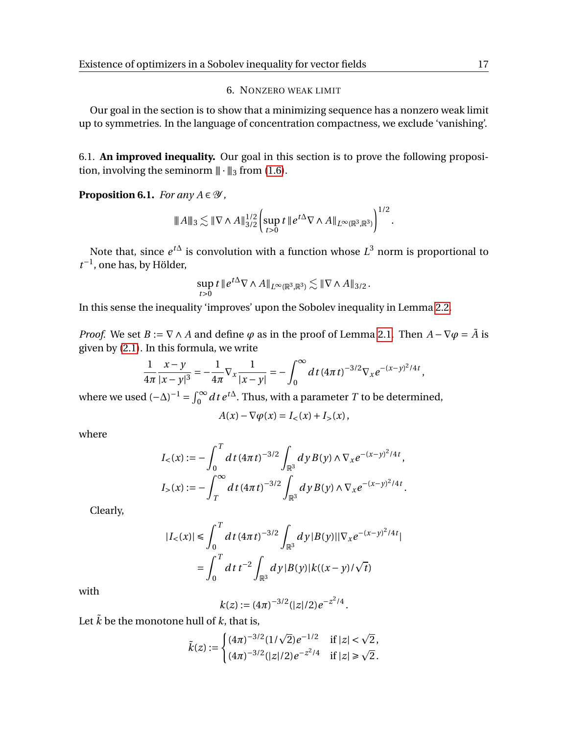# 6. NONZERO WEAK LIMIT

Our goal in the section is to show that a minimizing sequence has a nonzero weak limit up to symmetries. In the language of concentration compactness, we exclude 'vanishing'.

6.1. **An improved inequality.** Our goal in this section is to prove the following proposition, involving the seminorm  $\|\cdot\|_3$  from [\(1.6\)](#page-2-2).

<span id="page-16-0"></span>**Proposition 6.1.** *For any*  $A \in \mathcal{Y}$ ,

$$
|\!|\!| A |\!|\!|_{3} \lesssim |\!|\!| \nabla \wedge A|\!|\!|_{3/2}^{1/2} \Biggl( \sup_{t>0} t \, |\!|\!| e^{t\Delta} \nabla \wedge A|\!|\!|_{L^{\infty}(\mathbb{R}^3,\mathbb{R}^3)} \Biggr)^{1/2}.
$$

Note that, since  $e^{t\Delta}$  is convolution with a function whose  $L^3$  norm is proportional to  $t^{-1}$ , one has, by Hölder,

$$
\sup_{t>0} t \, \|e^{t\Delta} \nabla \wedge A\|_{L^{\infty}(\mathbb{R}^3, \mathbb{R}^3)} \lesssim \|\nabla \wedge A\|_{3/2} \, .
$$

In this sense the inequality 'improves' upon the Sobolev inequality in Lemma [2.2.](#page-6-0)

*Proof.* We set *B* :=  $\nabla \wedge A$  and define  $\varphi$  as in the proof of Lemma [2.1.](#page-5-0) Then  $A - \nabla \varphi = \tilde{A}$  is given by [\(2.1\)](#page-6-2). In this formula, we write

$$
\frac{1}{4\pi} \frac{x-y}{|x-y|^3} = -\frac{1}{4\pi} \nabla_x \frac{1}{|x-y|} = -\int_0^\infty dt \, (4\pi t)^{-3/2} \nabla_x e^{-(x-y)^2/4t},
$$

where we used  $(-\Delta)^{-1} = \int_0^\infty dt \, e^{t\Delta}$ . Thus, with a parameter *T* to be determined,

$$
A(x) - \nabla \varphi(x) = I_{<} (x) + I_{>} (x),
$$

where

$$
I_{<}(x) := -\int_{0}^{T} dt \, (4\pi t)^{-3/2} \int_{\mathbb{R}^{3}} dy \, B(y) \wedge \nabla_{x} e^{-(x-y)^{2}/4t},
$$
\n
$$
I_{>}(x) := -\int_{T}^{\infty} dt \, (4\pi t)^{-3/2} \int_{\mathbb{R}^{3}} dy \, B(y) \wedge \nabla_{x} e^{-(x-y)^{2}/4t}.
$$

Clearly,

$$
|I_{<}(x)| \leq \int_0^T dt \, (4\pi t)^{-3/2} \int_{\mathbb{R}^3} dy \, |B(y)| |\nabla_x e^{-(x-y)^2/4t}|
$$

$$
= \int_0^T dt \, t^{-2} \int_{\mathbb{R}^3} dy \, |B(y)| k((x-y)/\sqrt{t})
$$

with

$$
k(z) := (4\pi)^{-3/2} (|z|/2) e^{-z^2/4}.
$$

Let  $\tilde{k}$  be the monotone hull of  $k$ , that is,

$$
\tilde{k}(z) := \begin{cases}\n(4\pi)^{-3/2} (1/\sqrt{2}) e^{-1/2} & \text{if } |z| < \sqrt{2}, \\
(4\pi)^{-3/2} (|z|/2) e^{-z^2/4} & \text{if } |z| \ge \sqrt{2}.\n\end{cases}
$$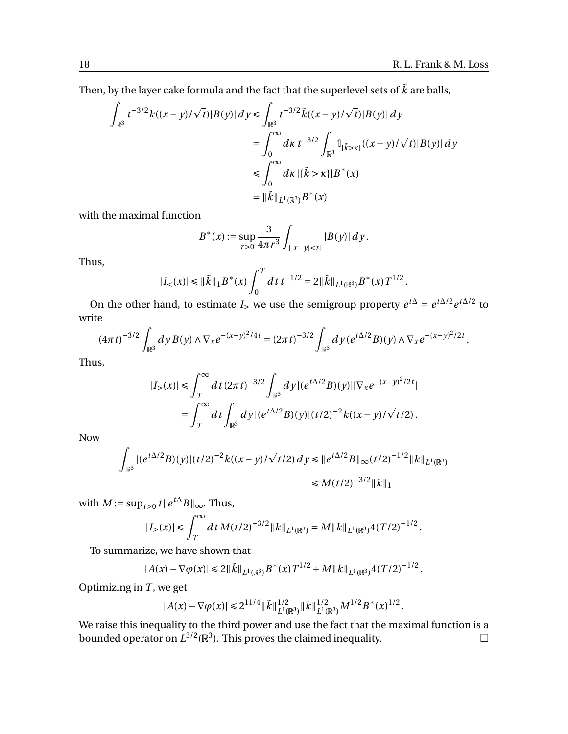Then, by the layer cake formula and the fact that the superlevel sets of  $\tilde{k}$  are balls,

$$
\int_{\mathbb{R}^3} t^{-3/2} k((x-y)/\sqrt{t}) |B(y)| dy \le \int_{\mathbb{R}^3} t^{-3/2} \tilde{k}((x-y)/\sqrt{t}) |B(y)| dy
$$
  
\n
$$
= \int_0^\infty dx \, t^{-3/2} \int_{\mathbb{R}^3} \mathbb{1}_{\{\tilde{k} > \kappa\}} ((x-y)/\sqrt{t}) |B(y)| dy
$$
  
\n
$$
\le \int_0^\infty dx \, |\{\tilde{k} > \kappa\}| B^*(x)
$$
  
\n
$$
= \|\tilde{k}\|_{L^1(\mathbb{R}^3)} B^*(x)
$$

with the maximal function

$$
B^*(x) := \sup_{r>0} \frac{3}{4\pi r^3} \int_{\{|x-y| < r\}} |B(y)| \, dy.
$$

Thus,

$$
|I_{<}(x)| \leq \|\tilde{k}\|_1 B^*(x) \int_0^T dt \, t^{-1/2} = 2\|\tilde{k}\|_{L^1(\mathbb{R}^3)} B^*(x) T^{1/2}.
$$

On the other hand, to estimate *I*<sub>></sub> we use the semigroup property  $e^{t\Delta} = e^{t\Delta/2} e^{t\Delta/2}$  to write

$$
(4\pi t)^{-3/2} \int_{\mathbb{R}^3} dy B(y) \wedge \nabla_x e^{-(x-y)^2/4t} = (2\pi t)^{-3/2} \int_{\mathbb{R}^3} dy \, (e^{t\Delta/2} B)(y) \wedge \nabla_x e^{-(x-y)^2/2t}.
$$

Thus,

$$
|I_{>}(x)| \leq \int_{T}^{\infty} dt (2\pi t)^{-3/2} \int_{\mathbb{R}^{3}} dy |(e^{t\Delta/2}B)(y)||\nabla_{x}e^{-(x-y)^{2}/2t}|
$$
  
= 
$$
\int_{T}^{\infty} dt \int_{\mathbb{R}^{3}} dy |(e^{t\Delta/2}B)(y)|(t/2)^{-2}k((x-y)/\sqrt{t/2}).
$$

Now

$$
\int_{\mathbb{R}^3} |(e^{t\Delta/2}B)(y)|(t/2)^{-2}k((x-y)/\sqrt{t/2}) dy \leq \|e^{t\Delta/2}B\|_{\infty} (t/2)^{-1/2} \|k\|_{L^1(\mathbb{R}^3)}
$$
  

$$
\leq M(t/2)^{-3/2} \|k\|_1
$$

with  $M := \sup_{t>0} t \|e^{t\Delta}B\|_{\infty}$ . Thus,

$$
|I_{>}(x)| \leq \int_{T}^{\infty} dt M(t/2)^{-3/2} ||k||_{L^{1}(\mathbb{R}^{3})} = M ||k||_{L^{1}(\mathbb{R}^{3})} 4(T/2)^{-1/2}.
$$

To summarize, we have shown that

$$
|A(x)-\nabla\varphi(x)|\leq 2\|\tilde{k}\|_{L^1(\mathbb{R}^3)}B^*(x)T^{1/2}+M\|k\|_{L^1(\mathbb{R}^3)}4(T/2)^{-1/2}.
$$

Optimizing in *T* , we get

$$
|A(x)-\nabla \varphi(x)| \leq 2^{11/4}\|\tilde{k}\|_{L^1(\mathbb{R}^3)}^{1/2}\|k\|_{L^1(\mathbb{R}^3)}^{1/2}M^{1/2}B^*(x)^{1/2}
$$

.

We raise this inequality to the third power and use the fact that the maximal function is a bounded operator on  $L^{3/2}(\mathbb{R}^3)$ . This proves the claimed inequality.  $\hfill \Box$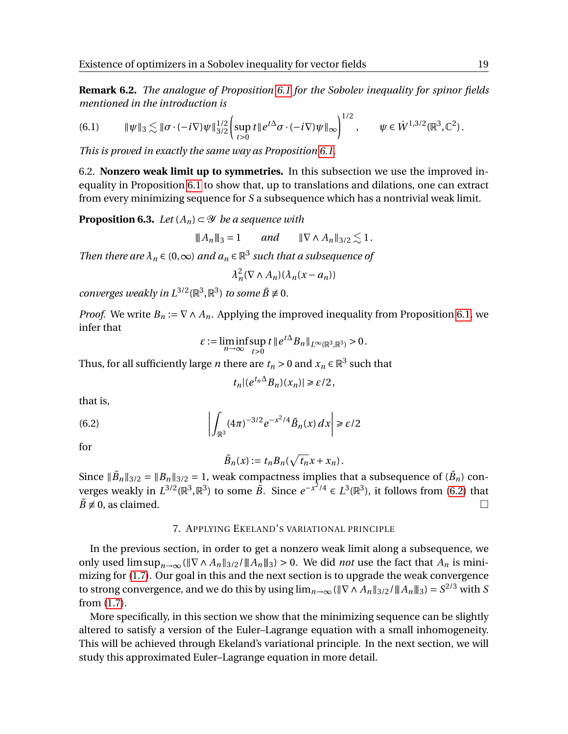**Remark 6.2.** *The analogue of Proposition [6.1](#page-16-0) for the Sobolev inequality for spinor fields mentioned in the introduction is*

¶1/2

<span id="page-18-2"></span>
$$
(6.1) \t\t\t\t\t\|\psi\|_{3} \lesssim \|\sigma \cdot (-i\nabla)\psi\|_{3/2}^{1/2} \left(\sup_{t>0} t \|e^{t\Delta}\sigma \cdot (-i\nabla)\psi\|_{\infty}\right)^{1/2}, \t\t\t\t\t\psi \in \dot{W}^{1,3/2}(\mathbb{R}^{3}, \mathbb{C}^{2}).
$$

*This is proved in exactly the same way as Proposition [6.1.](#page-16-0)*

6.2. **Nonzero weak limit up to symmetries.** In this subsection we use the improved inequality in Proposition [6.1](#page-16-0) to show that, up to translations and dilations, one can extract from every minimizing sequence for *S* a subsequence which has a nontrivial weak limit.

<span id="page-18-1"></span>**Proposition 6.3.** *Let*  $(A_n) \subset \mathcal{Y}$  *be a sequence with* 

$$
||A_n||_3 = 1
$$
 and  $||\nabla \wedge A_n||_{3/2} \lesssim 1$ .

*Then there are*  $\lambda_n \in (0,\infty)$  *and*  $a_n \in \mathbb{R}^3$  *such that a subsequence of* 

$$
\lambda_n^2(\nabla \wedge A_n)(\lambda_n(x-a_n))
$$

*converges weakly in*  $L^{3/2}(\mathbb{R}^3, \mathbb{R}^3)$  *to some*  $\tilde{B} \neq 0$ *.* 

*Proof.* We write  $B_n := \nabla \wedge A_n$ . Applying the improved inequality from Proposition [6.1,](#page-16-0) we infer that

$$
\varepsilon := \liminf_{n \to \infty} \sup_{t > 0} t \, \| e^{t\Delta} B_n \|_{L^{\infty}(\mathbb{R}^3, \mathbb{R}^3)} > 0.
$$

Thus, for all sufficiently large *n* there are  $t_n > 0$  and  $x_n \in \mathbb{R}^3$  such that

$$
t_n|(e^{t_n\Delta}B_n)(x_n)| \geq \varepsilon/2,
$$

that is,

(6.2) 
$$
\left| \int_{\mathbb{R}^3} (4\pi)^{-3/2} e^{-x^2/4} \tilde{B}_n(x) dx \right| \geq \varepsilon/2
$$

for

<span id="page-18-0"></span>
$$
\tilde{B}_n(x) := t_n B_n(\sqrt{t_n}x + x_n).
$$

Since  $\|\tilde{B}_n\|_{3/2} = \|B_n\|_{3/2} = 1$ , weak compactness implies that a subsequence of  $(\tilde{B}_n)$  converges weakly in  $L^{3/2}(\mathbb{R}^3, \mathbb{R}^3)$  to some  $\overline{B}$ . Since  $e^{-x^2/4} \in L^3(\mathbb{R}^3)$ , it follows from [\(6.2\)](#page-18-0) that  $\tilde{B} \neq 0$ , as claimed.

### 7. APPLYING EKELAND'S VARIATIONAL PRINCIPLE

In the previous section, in order to get a nonzero weak limit along a subsequence, we only used limsup<sub>*n*→∞</sub> ( $\|\nabla \wedge A_n\|_{3/2}/\|A_n\|_3$ ) > 0. We did *not* use the fact that  $A_n$  is minimizing for [\(1.7\)](#page-2-1). Our goal in this and the next section is to upgrade the weak convergence to strong convergence, and we do this by using  $\lim_{n\to\infty} (\|\nabla \wedge A_n\|_{3/2}/\|A_n\|_3) = S^{2/3}$  with  $S$ from [\(1.7\)](#page-2-1).

More specifically, in this section we show that the minimizing sequence can be slightly altered to satisfy a version of the Euler–Lagrange equation with a small inhomogeneity. This will be achieved through Ekeland's variational principle. In the next section, we will study this approximated Euler–Lagrange equation in more detail.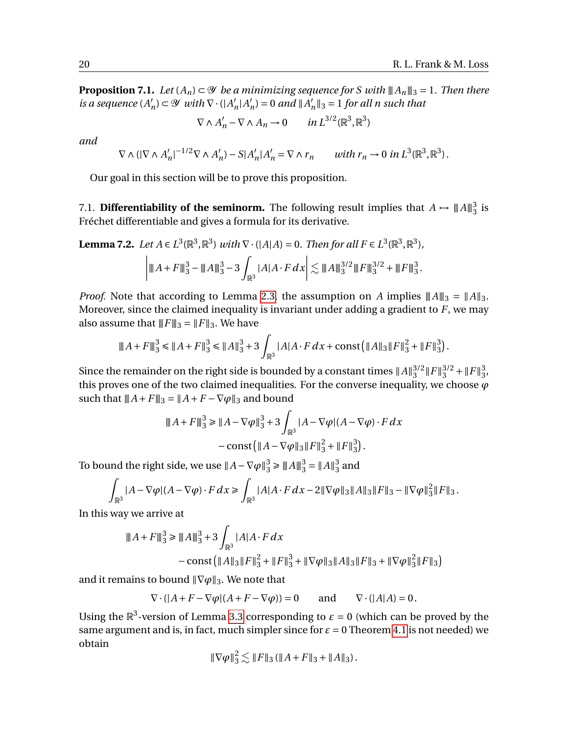<span id="page-19-0"></span>**Proposition 7.1.** *Let*  $(A_n) \subset \mathcal{Y}$  *be a minimizing sequence for S with*  $||A_n||_3 = 1$ *. Then there is a sequence*  $(A)$  $\mathcal{Y}_n$ )  $\subset \mathcal{Y}$  *with*  $\nabla \cdot (|A|)$  $n|A|$  $n'$ <sub>n</sub> $) = 0$  *and*  $||A'_p$  $\binom{n}{n}$   $\parallel$ <sub>3</sub> = 1 *for all n* such that

$$
\nabla \wedge A'_n - \nabla \wedge A_n \to 0 \quad in \, L^{3/2}(\mathbb{R}^3, \mathbb{R}^3)
$$

*and*

$$
\nabla \wedge \left( |\nabla \wedge A'_n|^{-1/2} \nabla \wedge A'_n \right) - S |A'_n| A'_n = \nabla \wedge r_n \qquad with \ r_n \to 0 \ in \ L^3(\mathbb{R}^3, \mathbb{R}^3).
$$

Our goal in this section will be to prove this proposition.

7.1. **Differentiability of the seminorm.** The following result implies that  $A \mapsto \|A\|_3^3$  $\frac{3}{3}$  is Fréchet differentiable and gives a formula for its derivative.

<span id="page-19-1"></span>**Lemma 7.2.** *Let A* ∈ *L*<sup>3</sup>( $\mathbb{R}^3$ ,  $\mathbb{R}^3$ ) *with*  $\nabla \cdot (|A|A) = 0$ *. Then for all*  $F \in L^3(\mathbb{R}^3, \mathbb{R}^3)$ *,* 

$$
\left|\|A+F\|_3^3 - \|A\|_3^3 - 3\int_{\mathbb{R}^3} |A| A \cdot F \, dx\right| \lesssim \|A\|_3^{3/2} \|F\|_3^{3/2} + \|F\|_3^3.
$$

*Proof.* Note that according to Lemma [2.3,](#page-6-1) the assumption on *A* implies  $||A||_3 = ||A||_3$ . Moreover, since the claimed inequality is invariant under adding a gradient to *F*, we may also assume that  $\|F\|_3 = \|F\|_3$ . We have

$$
||A + F||_3^3 \le ||A + F||_3^3 \le ||A||_3^3 + 3\int_{\mathbb{R}^3} |A|A \cdot F \, dx + \text{const} \left( ||A||_3 ||F||_3^2 + ||F||_3^3 \right).
$$

Since the remainder on the right side is bounded by a constant times  $||A||_{3}^{3/2}$  $\frac{3}{2}$ || $F$ || $\frac{3}{2}$ <sup>2</sup> + || $F$ || $\frac{3}{3}$ კ<br>ვ, this proves one of the two claimed inequalities. For the converse inequality, we choose  $\varphi$ such that  $||A + F||_3 = ||A + F - \nabla \varphi||_3$  and bound

$$
||A + F||_3^3 \ge ||A - \nabla \varphi||_3^3 + 3 \int_{\mathbb{R}^3} |A - \nabla \varphi|(A - \nabla \varphi) \cdot F \, dx
$$

$$
- \text{const} \left( ||A - \nabla \varphi||_3 ||F||_3^2 + ||F||_3^3 \right).
$$

To bound the right side, we use  $\|A - \nabla \varphi\|_3^3 \ge \|A\|_3^3 = \|A\|_3^3$  $_3^3$  and

$$
\int_{\mathbb{R}^3} |A - \nabla \varphi|(A - \nabla \varphi) \cdot F \, dx \ge \int_{\mathbb{R}^3} |A| A \cdot F \, dx - 2 \|\nabla \varphi\|_3 \|A\|_3 \|F\|_3 - \|\nabla \varphi\|_3^2 \|F\|_3.
$$

In this way we arrive at

$$
||A + F||_3^3 \ge ||A||_3^3 + 3 \int_{\mathbb{R}^3} |A| A \cdot F dx
$$
  
- const  $(||A||_3 ||F||_3^2 + ||F||_3^3 + ||\nabla \varphi||_3 ||A||_3 ||F||_3 + ||\nabla \varphi||_3^2 ||F||_3)$ 

and it remains to bound  $\|\nabla \varphi\|_3$ . We note that

$$
\nabla \cdot (|A + F - \nabla \varphi|(A + F - \nabla \varphi)) = 0 \quad \text{and} \quad \nabla \cdot (|A|A) = 0.
$$

Using the  $\mathbb{R}^3$ -version of Lemma [3.3](#page-9-2) corresponding to  $\varepsilon = 0$  (which can be proved by the same argument and is, in fact, much simpler since for  $\varepsilon = 0$  Theorem [4.1](#page-11-0) is not needed) we obtain

$$
\|\nabla\varphi\|_3^2 \lesssim \|F\|_3 (\|A+F\|_3 + \|A\|_3).
$$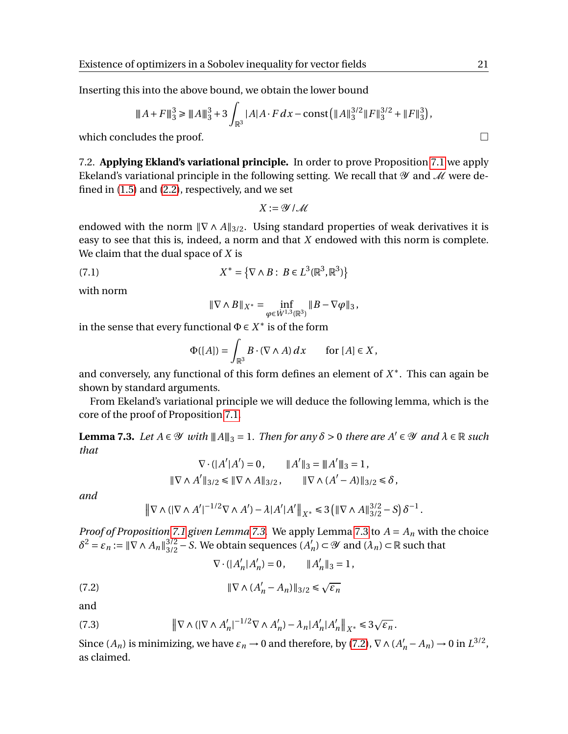Inserting this into the above bound, we obtain the lower bound

$$
||A + F||_3^3 \ge ||A||_3^3 + 3\int_{\mathbb{R}^3} |A|A \cdot F dx - \text{const} (||A||_3^{3/2} ||F||_3^{3/2} + ||F||_3^3),
$$

which concludes the proof.  $\Box$ 

<span id="page-20-0"></span>7.2. **Applying Ekland's variational principle.** In order to prove Proposition [7.1](#page-19-0) we apply Ekeland's variational principle in the following setting. We recall that  $\mathscr Y$  and  $\mathscr M$  were defined in [\(1.5\)](#page-2-3) and [\(2.2\)](#page-6-3), respectively, and we set

$$
X:=\mathcal{Y}\,/\,\mathcal{M}
$$

endowed with the norm  $\|\nabla \wedge A\|_{3/2}$ . Using standard properties of weak derivatives it is easy to see that this is, indeed, a norm and that *X* endowed with this norm is complete. We claim that the dual space of *X* is

(7.1) 
$$
X^* = \{ \nabla \wedge B : B \in L^3(\mathbb{R}^3, \mathbb{R}^3) \}
$$

with norm

<span id="page-20-4"></span>
$$
\|\nabla\wedge B\|_{X^*}=\inf_{\varphi\in \dot{W}^{1,3}(\mathbb{R}^3)}\|B-\nabla\varphi\|_3,
$$

in the sense that every functional  $\Phi \in X^*$  is of the form

$$
\Phi([A]) = \int_{\mathbb{R}^3} B \cdot (\nabla \wedge A) \, dx \qquad \text{for } [A] \in X,
$$

and conversely, any functional of this form defines an element of *X* ∗ . This can again be shown by standard arguments.

From Ekeland's variational principle we will deduce the following lemma, which is the core of the proof of Proposition [7.1.](#page-19-0)

<span id="page-20-1"></span>**Lemma 7.3.** *Let*  $A \in \mathcal{Y}$  *with*  $||A||_3 = 1$ *. Then for any*  $\delta > 0$  *there are*  $A' \in \mathcal{Y}$  *and*  $\lambda \in \mathbb{R}$  *such that*

$$
\nabla \cdot (|A'|A') = 0, \qquad \|A'\|_3 = \|A'\|_3 = 1,
$$
  

$$
\|\nabla \wedge A'\|_{3/2} \le \|\nabla \wedge A\|_{3/2}, \qquad \|\nabla \wedge (A'-A)\|_{3/2} \le \delta,
$$

*and*

$$
\|\nabla \wedge (|\nabla \wedge A'|^{-1/2} \nabla \wedge A') - \lambda |A'|A' \|_{X^*} \leq 3 (\|\nabla \wedge A\|_{3/2}^{3/2} - S) \delta^{-1}.
$$

*Proof of Proposition* [7.1](#page-19-0) *given Lemma* [7.3.](#page-20-1) We apply Lemma [7.3](#page-20-1) to  $A = A_n$  with the choice  $\delta^2 = \varepsilon_n := \|\nabla \wedge A_n\|_{3/2}^{3/2} - S$ . We obtain sequences  $(A'_n)$  $\mathcal{A}'_n$ ) ⊂  $\mathcal Y$  and  $(\lambda_n)$  ⊂  $\mathbb R$  such that

<span id="page-20-3"></span><span id="page-20-2"></span>
$$
\nabla \cdot (|A'_n|A'_n) = 0, \qquad ||A'_n||_3 = 1,
$$

(7.2) 
$$
\|\nabla \wedge (A'_n - A_n)\|_{3/2} \leq \sqrt{\varepsilon_n}
$$

and

(7.3) 
$$
\|\nabla \wedge (|\nabla \wedge A'_n|^{-1/2} \nabla \wedge A'_n) - \lambda_n |A'_n| A'_n\|_{X^*} \leq 3\sqrt{\varepsilon_n}.
$$

Since  $(A_n)$  is minimizing, we have  $\varepsilon_n \to 0$  and therefore, by [\(7.2\)](#page-20-2),  $\nabla \wedge (A'_n - A_n) \to 0$  in  $L^{3/2}$ , as claimed.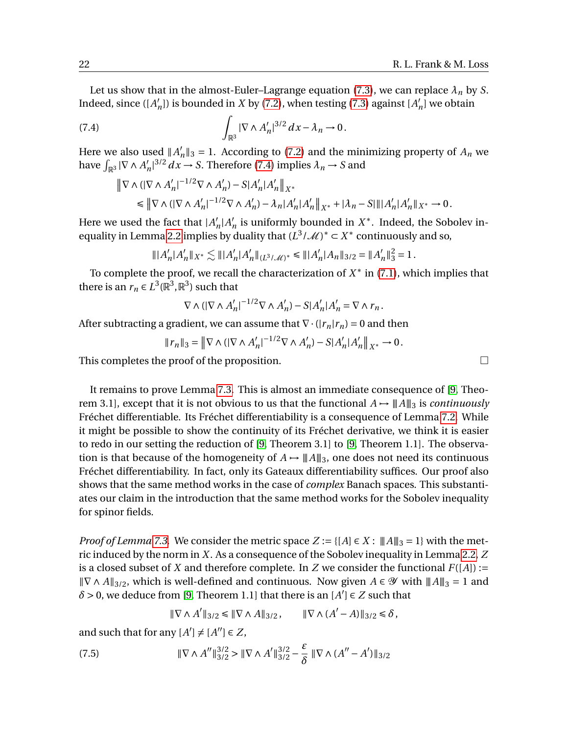Let us show that in the almost-Euler–Lagrange equation [\(7.3\)](#page-20-3), we can replace  $\lambda_n$  by *S*. Indeed, since  $([A]$  $n'$ <sub>n</sub>]) is bounded in *X* by [\(7.2\)](#page-20-2), when testing [\(7.3\)](#page-20-3) against [*A*<sup> $\prime$ </sup>  $n'$  we obtain

(7.4) 
$$
\int_{\mathbb{R}^3} |\nabla \wedge A'_n|^{3/2} dx - \lambda_n \to 0.
$$

Here we also used  $||A|$  $n'_n \|_3 = 1$ . According to [\(7.2\)](#page-20-2) and the minimizing property of  $A_n$  we have  $\int_{\mathbb{R}^3} |\nabla \wedge A'_h|$  $\int_{1}^{7}$ <sup>3/2</sup> *dx* → *S*. Therefore [\(7.4\)](#page-21-0) implies  $\lambda_n \to S$  and

<span id="page-21-0"></span>
$$
\begin{aligned} \left\| \nabla \wedge \left( |\nabla \wedge A'_n|^{-1/2} \nabla \wedge A'_n \right) - S |A'_n |A'_n \right\|_{X^*} \\ \leq \left\| \nabla \wedge \left( |\nabla \wedge A'_n|^{-1/2} \nabla \wedge A'_n \right) - \lambda_n |A'_n |A'_n \right\|_{X^*} + |\lambda_n - S| \| |A'_n |A'_n \|_{X^*} \to 0 \,. \end{aligned}
$$

Here we used the fact that  $|A\rangle$  $n|A|$  $n'_n$  is uniformly bounded in  $X^*$ . Indeed, the Sobolev in-equality in Lemma [2.2](#page-6-0) implies by duality that  $(L^3/\mathcal{M})^* \subset X^*$  continuously and so,

$$
\||A'_n|A'_n\|_{X^*}\lesssim \||A'_n|A'_n\|_{(L^3/\mathcal{M})^*}\leq \||A'_n|A_n\|_{3/2}=\|A'_n\|_3^2=1\,.
$$

To complete the proof, we recall the characterization of  $X^*$  in  $(7.1)$ , which implies that there is an  $r_n \in L^3(\mathbb{R}^3, \mathbb{R}^3)$  such that

$$
\nabla\wedge(|\nabla\wedge A_n'|^{-1/2}\nabla\wedge A_n')-S|A_n'|A_n'=\nabla\wedge r_n\,.
$$

After subtracting a gradient, we can assume that  $\nabla \cdot (|\mathbf{r}_n|\mathbf{r}_n) = 0$  and then

$$
||r_n||_3 = ||\nabla \wedge (|\nabla \wedge A'_n|^{-1/2} \nabla \wedge A'_n) - S|A'_n|A'_n||_{X^*} \to 0.
$$

This completes the proof of the proposition.  $\Box$ 

It remains to prove Lemma [7.3.](#page-20-1) This is almost an immediate consequence of [\[9,](#page-28-7) Theorem 3.1], except that it is not obvious to us that the functional  $A \rightarrow \|A\|_3$  is *continuously* Fréchet differentiable. Its Fréchet differentiability is a consequence of Lemma [7.2.](#page-19-1) While it might be possible to show the continuity of its Fréchet derivative, we think it is easier to redo in our setting the reduction of [\[9,](#page-28-7) Theorem 3.1] to [\[9,](#page-28-7) Theorem 1.1]. The observation is that because of the homogeneity of  $A \rightarrow ||A||_3$ , one does not need its continuous Fréchet differentiability. In fact, only its Gateaux differentiability suffices. Our proof also shows that the same method works in the case of *complex* Banach spaces. This substantiates our claim in the introduction that the same method works for the Sobolev inequality for spinor fields.

*Proof of Lemma* [7.3.](#page-20-1) We consider the metric space  $Z := \{[A] \in X : ||A||_3 = 1\}$  with the metric induced by the norm in *X*. As a consequence of the Sobolev inequality in Lemma [2.2,](#page-6-0) *Z* is a closed subset of *X* and therefore complete. In *Z* we consider the functional  $F([A]) :=$  $\|\nabla \wedge A\|_{3/2}$ , which is well-defined and continuous. Now given *A* ∈ *Y* with  $\|A\|_3 = 1$  and  $\delta$  > 0, we deduce from [\[9,](#page-28-7) Theorem 1.1] that there is an  $[A'] \in Z$  such that

<span id="page-21-1"></span>
$$
\|\nabla \wedge A'\|_{3/2} \le \|\nabla \wedge A\|_{3/2}, \qquad \|\nabla \wedge (A' - A)\|_{3/2} \le \delta,
$$

and such that for any  $[A'] \neq [A''] \in Z$ ,

(7.5) 
$$
\|\nabla \wedge A''\|_{3/2}^{3/2} > \|\nabla \wedge A'\|_{3/2}^{3/2} - \frac{\varepsilon}{\delta} \|\nabla \wedge (A'' - A')\|_{3/2}
$$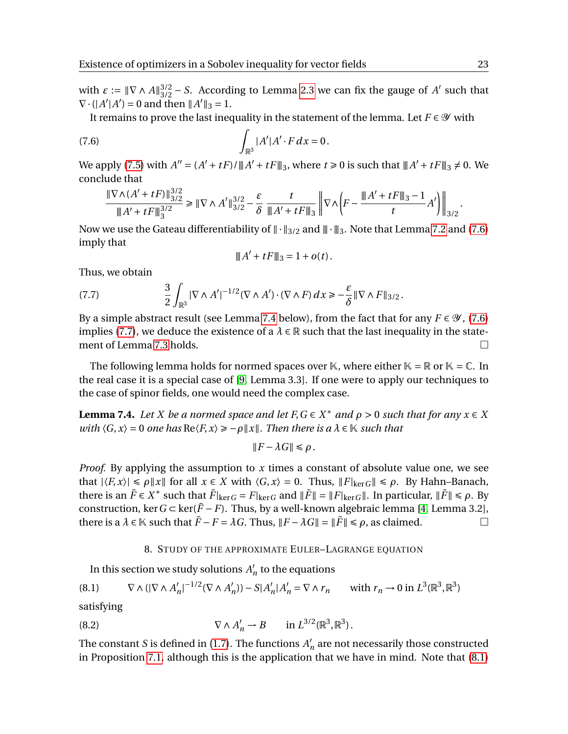with  $\varepsilon := ||\nabla \wedge A||_{3/2}^{3/2} - S$ . According to Lemma [2.3](#page-6-1) we can fix the gauge of *A'* such that  $\nabla \cdot (|A'|A') = 0$  and then  $||A'||_3 = 1$ .

It remains to prove the last inequality in the statement of the lemma. Let  $F \in \mathcal{Y}$  with

(7.6) 
$$
\int_{\mathbb{R}^3} |A'| A' \cdot F \, dx = 0.
$$

We apply [\(7.5\)](#page-21-1) with  $A'' = (A' + tF)/||A' + tF||_3$ , where  $t \ge 0$  is such that  $||A' + tF||_3 \ne 0$ . We conclude that

$$
\frac{\|\nabla\wedge(A'+tF)\|_{3/2}^{3/2}}{\|A'+tF\|_3^{3/2}}\geq \|\nabla\wedge A'\|_{3/2}^{3/2}-\frac{\varepsilon}{\delta}\frac{t}{\|A'+tF\|_3}\left\|\nabla\wedge\left(F-\frac{\|A'+tF\|_3-1}{t}A'\right)\right\|_{3/2}.
$$

Now we use the Gateau differentiability of  $\|\cdot\|_{3/2}$  and  $\|\cdot\|_3$ . Note that Lemma [7.2](#page-19-1) and [\(7.6\)](#page-22-0) imply that

<span id="page-22-2"></span><span id="page-22-0"></span>
$$
|||A' + tF|||_3 = 1 + o(t).
$$

Thus, we obtain

(7.7) 
$$
\frac{3}{2}\int_{\mathbb{R}^3} |\nabla \wedge A'|^{-1/2} (\nabla \wedge A') \cdot (\nabla \wedge F) dx \geq -\frac{\varepsilon}{\delta} \|\nabla \wedge F\|_{3/2}.
$$

By a simple abstract result (see Lemma [7.4](#page-22-1) below), from the fact that for any  $F \in \mathcal{Y}$ , [\(7.6\)](#page-22-0) implies [\(7.7\)](#page-22-2), we deduce the existence of a  $\lambda \in \mathbb{R}$  such that the last inequality in the statement of Lemma [7.3](#page-20-1) holds.

The following lemma holds for normed spaces over K, where either  $K = \mathbb{R}$  or  $K = \mathbb{C}$ . In the real case it is a special case of [\[9,](#page-28-7) Lemma 3.3]. If one were to apply our techniques to the case of spinor fields, one would need the complex case.

<span id="page-22-1"></span>**Lemma 7.4.** *Let X be a normed space and let F, G*  $\in$  *X*<sup>\*</sup> *and*  $\rho$  > 0 *such that for any*  $x \in X$ *with*  $\langle G, x \rangle = 0$  *one has*  $\text{Re}\langle F, x \rangle \ge -\rho ||x||$ *. Then there is a*  $\lambda \in \mathbb{K}$  *such that* 

$$
||F - \lambda G|| \le \rho.
$$

*Proof.* By applying the assumption to *x* times a constant of absolute value one, we see that  $|\langle F, x \rangle| \le \rho ||x||$  for all  $x \in X$  with  $\langle G, x \rangle = 0$ . Thus,  $||F||_{\text{ker }G} || \le \rho$ . By Hahn–Banach, there is an  $\tilde{F} \in X^*$  such that  $\tilde{F}|_{\text{ker }G} = F|_{\text{ker }G}$  and  $\|\tilde{F}\| = \|F|_{\text{ker }G}\|$ . In particular,  $\|\tilde{F}\| \le \rho$ . By construction, ker  $G \subset \text{ker}(\tilde{F} - F)$ . Thus, by a well-known algebraic lemma [\[4,](#page-28-8) Lemma 3.2], there is a  $\lambda \in \mathbb{K}$  such that  $\tilde{F} - F = \lambda G$ . Thus,  $||F - \lambda G|| = ||\tilde{F}|| \leq \rho$ , as claimed.

# <span id="page-22-4"></span><span id="page-22-3"></span>8. STUDY OF THE APPROXIMATE EULER–LAGRANGE EQUATION

In this section we study solutions  $A'_i$  $n'$  to the equations

$$
(8.1) \qquad \nabla \wedge (|\nabla \wedge A'_n|^{-1/2} (\nabla \wedge A'_n)) - S|A'_n|A'_n = \nabla \wedge r_n \qquad \text{with } r_n \to 0 \text{ in } L^3(\mathbb{R}^3, \mathbb{R}^3)
$$

satisfying

(8.2) 
$$
\nabla \wedge A'_{n} \rightharpoonup B \quad \text{in } L^{3/2}(\mathbb{R}^{3}, \mathbb{R}^{3}).
$$

The constant *S* is defined in [\(1.7\)](#page-2-1). The functions  $A'$  $n'$  are not necessarily those constructed in Proposition [7.1,](#page-19-0) although this is the application that we have in mind. Note that [\(8.1\)](#page-22-3)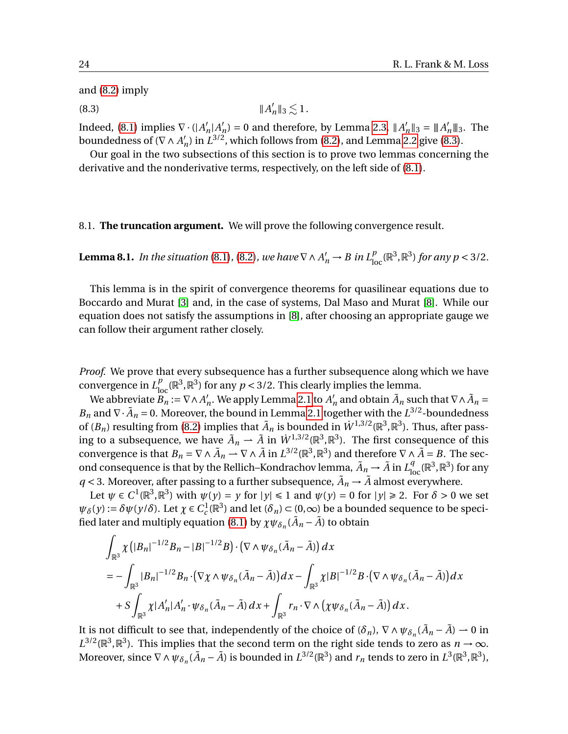and [\(8.2\)](#page-22-4) imply

<span id="page-23-0"></span> $(8.3)$   $||A$  $\overline{1}$  $n'$ <sup>1</sup><sub>3</sub>  $\lesssim$  1.

Indeed, [\(8.1\)](#page-22-3) implies  $\nabla \cdot (|A|)$  $n | A'_i$  $n'_n$ ) = 0 and therefore, by Lemma [2.3,](#page-6-1)  $||A'_n||$  $\binom{n}{n}$   $\parallel$  3 =  $\parallel$   $A'_n \parallel$  3. The boundedness of  $(\nabla \wedge A)$  $L_n$ ) in  $L^{3/2}$ , which follows from [\(8.2\)](#page-22-4), and Lemma [2.2](#page-6-0) give [\(8.3\)](#page-23-0).

Our goal in the two subsections of this section is to prove two lemmas concerning the derivative and the nonderivative terms, respectively, on the left side of [\(8.1\)](#page-22-3).

8.1. **The truncation argument.** We will prove the following convergence result.

<span id="page-23-1"></span>**Lemma 8.1.** In the situation [\(8.1\)](#page-22-3), [\(8.2\)](#page-22-4), we have  $\nabla \wedge A'_n \to B$  in  $L^p_{loc}(\mathbb{R}^3, \mathbb{R}^3)$  for any  $p < 3/2$ .

This lemma is in the spirit of convergence theorems for quasilinear equations due to Boccardo and Murat [\[3\]](#page-28-9) and, in the case of systems, Dal Maso and Murat [\[8\]](#page-28-10). While our equation does not satisfy the assumptions in [\[8\]](#page-28-10), after choosing an appropriate gauge we can follow their argument rather closely.

*Proof.* We prove that every subsequence has a further subsequence along which we have convergence in  $L_{\text{loc}}^p(\mathbb{R}^3, \mathbb{R}^3)$  for any  $p < 3/2$ . This clearly implies the lemma.

We abbreviate  $B_n := \nabla \wedge A'_n$  $n'_n$ . We apply Lemma [2.1](#page-5-0) to  $A'_n$  $n'_n$  and obtain  $\tilde{A}_n$  such that  $\nabla \wedge \tilde{A}_n =$ *B*<sub>*n*</sub> and  $\nabla \cdot \tilde{A}_n = 0$ . Moreover, the bound in Lemma [2.1](#page-5-0) together with the  $L^{3/2}$ -boundedness of  $(B_n)$  resulting from [\(8.2\)](#page-22-4) implies that  $\tilde{A}_n$  is bounded in  $\dot{W}^{1,3/2}(\mathbb{R}^3,\mathbb{R}^3)$ . Thus, after passing to a subsequence, we have  $\tilde{A}_n \rightharpoonup \tilde{A}$  in  $\dot{W}^{1,3/2}(\mathbb{R}^3, \mathbb{R}^3)$ . The first consequence of this convergence is that  $B_n = \nabla \wedge \tilde{A}_n \to \nabla \wedge \tilde{A}$  in  $L^{3/2}(\mathbb{R}^3, \mathbb{R}^3)$  and therefore  $\nabla \wedge \tilde{A} = B$ . The second consequence is that by the Rellich–Kondrachov lemma,  $\tilde{A}_n \to \tilde{A}$  in  $L^q_{\text{loc}}(\mathbb{R}^3,\mathbb{R}^3)$  for any  $q < 3$ . Moreover, after passing to a further subsequence,  $\tilde{A}_n \rightarrow \tilde{A}$  almost everywhere.

Let  $\psi \in C^1(\mathbb{R}^3, \mathbb{R}^3)$  with  $\psi(y) = y$  for  $|y| \le 1$  and  $\psi(y) = 0$  for  $|y| \ge 2$ . For  $\delta > 0$  we set  $\psi_{\delta}(y) := \delta \psi(y/\delta)$ . Let  $\chi \in C_c^1(\mathbb{R}^3)$  and let  $(\delta_n) \subset (0,\infty)$  be a bounded sequence to be speci-fied later and multiply equation [\(8.1\)](#page-22-3) by  $\chi\psi_{\delta_n}(\tilde{A}_n - \tilde{A})$  to obtain

$$
\int_{\mathbb{R}^3} \chi \left( |B_n|^{-1/2} B_n - |B|^{-1/2} B \right) \cdot \left( \nabla \wedge \psi_{\delta_n} (\tilde{A}_n - \tilde{A}) \right) dx
$$
\n
$$
= - \int_{\mathbb{R}^3} |B_n|^{-1/2} B_n \cdot \left( \nabla \chi \wedge \psi_{\delta_n} (\tilde{A}_n - \tilde{A}) \right) dx - \int_{\mathbb{R}^3} \chi |B|^{-1/2} B \cdot \left( \nabla \wedge \psi_{\delta_n} (\tilde{A}_n - \tilde{A}) \right) dx
$$
\n
$$
+ S \int_{\mathbb{R}^3} \chi |A'_n| A'_n \cdot \psi_{\delta_n} (\tilde{A}_n - \tilde{A}) dx + \int_{\mathbb{R}^3} r_n \cdot \nabla \wedge \left( \chi \psi_{\delta_n} (\tilde{A}_n - \tilde{A}) \right) dx.
$$

It is not difficult to see that, independently of the choice of  $(\delta_n)$ ,  $\nabla \wedge \psi_{\delta_n}(\tilde{A}_n - \tilde{A}) \to 0$  in  $L^{3/2}(\mathbb{R}^3, \mathbb{R}^3)$ . This implies that the second term on the right side tends to zero as *n* → ∞. Moreover, since  $\nabla \wedge \psi_{\delta_n}(\tilde{A}_n - \tilde{A})$  is bounded in  $L^{3/2}(\mathbb{R}^3)$  and  $r_n$  tends to zero in  $L^3(\mathbb{R}^3, \mathbb{R}^3)$ ,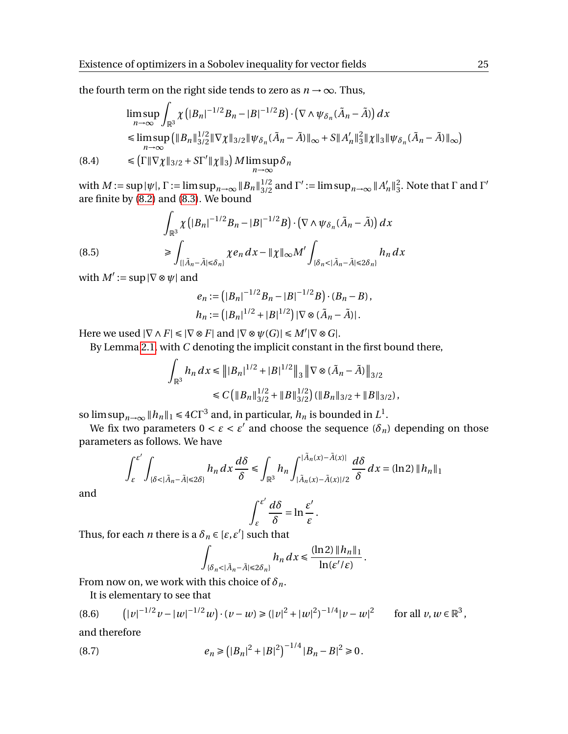the fourth term on the right side tends to zero as  $n \rightarrow \infty$ . Thus,

$$
\limsup_{n \to \infty} \int_{\mathbb{R}^3} \chi\left(|B_n|^{-1/2} B_n - |B|^{-1/2} B\right) \cdot \left(\nabla \wedge \psi_{\delta_n}(\tilde{A}_n - \tilde{A})\right) dx
$$
\n
$$
\leq \limsup_{n \to \infty} \left(\|B_n\|_{3/2}^{1/2} \|\nabla \chi\|_{3/2} \|\psi_{\delta_n}(\tilde{A}_n - \tilde{A})\|_{\infty} + S \|A'_n\|_{3}^{2} \|\chi\|_{3} \|\psi_{\delta_n}(\tilde{A}_n - \tilde{A})\|_{\infty}\right)
$$
\n
$$
\leq \left(\Gamma \|\nabla \chi\|_{3/2} + S \Gamma' \|\chi\|_{3}\right) M \limsup \delta_n
$$

<span id="page-24-1"></span>(8.4) 
$$
\leq (\Gamma \|\nabla \chi\|_{3/2} + S\Gamma' \|\chi\|_3) M \limsup_{n \to \infty} \delta_n
$$

with  $M := \sup |\psi|$ ,  $\Gamma := \limsup_{n \to \infty} \|B_n\|_{3/2}^{1/2}$  and  $\Gamma' := \limsup_{n \to \infty} \|A'_n\|_{3/2}^{1/2}$  $n \, \|_3^2$  $_3^2$ . Note that Γ and Γ' are finite by  $(8.2)$  and  $(8.3)$ . We bound

<span id="page-24-0"></span>(8.5)  

$$
\int_{\mathbb{R}^3} \chi \left( |B_n|^{-1/2} B_n - |B|^{-1/2} B \right) \cdot \left( \nabla \wedge \psi_{\delta_n} (\tilde{A}_n - \tilde{A}) \right) dx
$$

$$
\geq \int_{\{ |\tilde{A}_n - \tilde{A}| \leq \delta_n \}} \chi e_n dx - \|\chi\|_{\infty} M' \int_{\{ \delta_n < |\tilde{A}_n - \tilde{A}| \leq 2\delta_n \}} h_n dx
$$

with  $M' := \sup |\nabla \otimes \psi|$  and

$$
e_n := (|B_n|^{-1/2}B_n - |B|^{-1/2}B) \cdot (B_n - B),
$$
  
\n
$$
h_n := (|B_n|^{1/2} + |B|^{1/2}) |\nabla \otimes (\tilde{A}_n - \tilde{A})|.
$$

Here we used  $|\nabla \wedge F| \le |\nabla \otimes F|$  and  $|\nabla \otimes \psi(G)| \le M' |\nabla \otimes G|$ .

By Lemma [2.1,](#page-5-0) with *C* denoting the implicit constant in the first bound there,

$$
\int_{\mathbb{R}^3} h_n \, dx \le \| |B_n|^{1/2} + |B|^{1/2} \|_3 \| \nabla \otimes (\tilde{A}_n - \tilde{A}) \|_{3/2}
$$
  

$$
\le C \left( \| B_n \|_{3/2}^{1/2} + \| B \|_{3/2}^{1/2} \right) \left( \| B_n \|_{3/2} + \| B \|_{3/2} \right),
$$

so  $\limsup_{n\to\infty} \|h_n\|_1 \leq 4C\Gamma^3$  and, in particular,  $h_n$  is bounded in  $L^1$ .

We fix two parameters  $0 < \varepsilon < \varepsilon'$  and choose the sequence  $(\delta_n)$  depending on those parameters as follows. We have

$$
\int_{\varepsilon}^{\varepsilon'} \int_{\{\delta < |\tilde{A}_n - \tilde{A}| \le 2\delta\}} h_n \, dx \, \frac{d\delta}{\delta} \le \int_{\mathbb{R}^3} h_n \int_{|\tilde{A}_n(x) - \tilde{A}(x)|/2}^{|\tilde{A}_n(x) - \tilde{A}(x)|} \frac{d\delta}{\delta} \, dx = (\ln 2) \, \|h_n\|_1
$$

and

$$
\int_{\varepsilon}^{\varepsilon'} \frac{d\delta}{\delta} = \ln \frac{\varepsilon'}{\varepsilon}.
$$

Thus, for each *n* there is a  $\delta_n \in [\varepsilon, \varepsilon']$  such that

$$
\int_{\{\delta_n<|\tilde{A}_n-\tilde{A}|\leq 2\delta_n\}} h_n\,dx\leq \frac{(\ln 2)\|h_n\|_1}{\ln(\varepsilon'/\varepsilon)}.
$$

From now on, we work with this choice of  $\delta_n$ .

<span id="page-24-2"></span>It is elementary to see that

$$
(8.6) \qquad \left( |v|^{-1/2}v - |w|^{-1/2}w \right) \cdot (v - w) \ge (|v|^2 + |w|^2)^{-1/4}|v - w|^2 \qquad \text{for all } v, w \in \mathbb{R}^3,
$$

and therefore

(8.7) 
$$
e_n \geq (|B_n|^2 + |B|^2)^{-1/4} |B_n - B|^2 \geq 0.
$$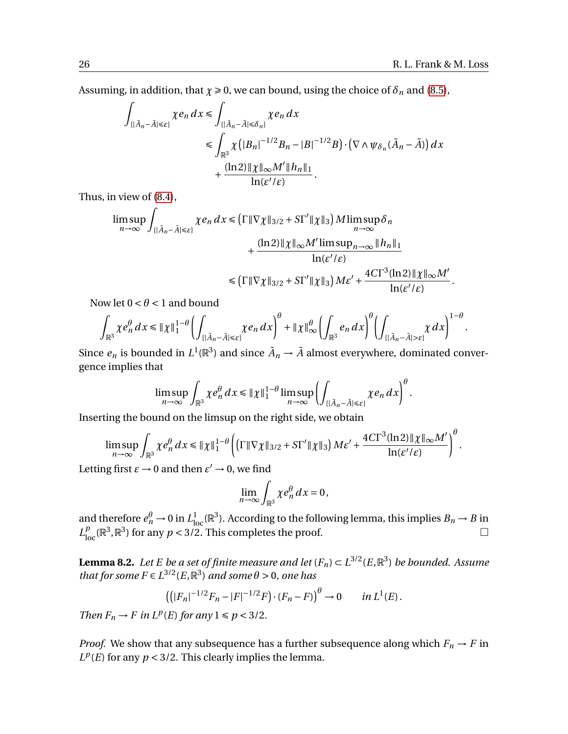Assuming, in addition, that  $\chi \ge 0$ , we can bound, using the choice of  $\delta_n$  and [\(8.5\)](#page-24-0),

$$
\int_{\{\vert \tilde{A}_n - \tilde{A} \vert \leq \varepsilon\}} \chi e_n \, dx \leq \int_{\{\vert \tilde{A}_n - \tilde{A} \vert \leq \delta_n\}} \chi e_n \, dx
$$
\n
$$
\leq \int_{\mathbb{R}^3} \chi \left( \vert B_n \vert^{-1/2} B_n - \vert B \vert^{-1/2} B \right) \cdot \left( \nabla \wedge \psi_{\delta_n} (\tilde{A}_n - \tilde{A}) \right) dx
$$
\n
$$
+ \frac{(\ln 2) \Vert \chi \Vert_{\infty} M' \Vert h_n \Vert_1}{\ln (\varepsilon'/\varepsilon)}.
$$

Thus, in view of [\(8.4\)](#page-24-1),

$$
\limsup_{n \to \infty} \int_{\{\|\tilde{A}_n - \tilde{A}\| \leq \varepsilon\}} \chi e_n \, dx \leq \left( \Gamma \|\nabla \chi\|_{3/2} + S\Gamma' \|\chi\|_3 \right) M \limsup_{n \to \infty} \delta_n
$$

$$
+ \frac{(\ln 2) \|\chi\|_{\infty} M' \limsup_{n \to \infty} \|\tilde{h}_n\|_1}{\ln(\varepsilon'/\varepsilon)}
$$

$$
\leq \left( \Gamma \|\nabla \chi\|_{3/2} + S\Gamma' \|\chi\|_3 \right) M \varepsilon' + \frac{4 C \Gamma^3 (\ln 2) \|\chi\|_{\infty} M'}{\ln(\varepsilon'/\varepsilon)}.
$$

Now let  $0 < \theta < 1$  and bound

$$
\int_{\mathbb{R}^3} \chi e_n^\theta\,dx \le \|\chi\|_1^{1-\theta}\left(\int_{\{|\tilde A_n-\tilde A|\le \varepsilon\}} \chi e_n\,dx\right)^\theta+\|\chi\|_\infty^\theta\left(\int_{\mathbb{R}^3} e_n\,dx\right)^\theta\left(\int_{\{|\tilde A_n-\tilde A|> \varepsilon\}} \chi\,dx\right)^{1-\theta}.
$$

Since  $e_n$  is bounded in  $L^1(\mathbb{R}^3)$  and since  $\tilde{A}_n \to \tilde{A}$  almost everywhere, dominated convergence implies that

$$
\limsup_{n\to\infty}\int_{\mathbb{R}^3}\chi e_n^{\theta}dx\leq \|\chi\|_1^{1-\theta}\limsup_{n\to\infty}\left(\int_{\{|\tilde{A}_n-\tilde{A}|\leq \varepsilon\}}\chi e_n dx\right)^{\theta}.
$$

Inserting the bound on the limsup on the right side, we obtain

$$
\limsup_{n\to\infty}\int_{\mathbb{R}^3}\chi e_n^{\theta}dx\leq \|\chi\|_1^{1-\theta}\left(\left(\Gamma\|\nabla\chi\|_{3/2}+S\Gamma'\|\chi\|_3\right)M\varepsilon'+\frac{4C\Gamma^3(\ln 2)\|\chi\|_{\infty}M'}{\ln(\varepsilon'/\varepsilon)}\right)^{\theta}.
$$

Letting first  $\varepsilon \to 0$  and then  $\varepsilon' \to 0$ , we find

$$
\lim_{n\to\infty}\int_{\mathbb{R}^3}\chi e_n^{\theta}\,dx=0,
$$

and therefore  $e_n^{\theta} \to 0$  in  $L_{loc}^1(\mathbb{R}^3)$ . According to the following lemma, this implies  $B_n \to B$  in  $L_{\text{loc}}^p(\mathbb{R}^3, \mathbb{R}^3)$  for any  $p < 3/2$ . This completes the proof.

**Lemma 8.2.** Let E be a set of finite measure and let  $(F_n) \subset L^{3/2}(E,\mathbb{R}^3)$  be bounded. Assume *that for some*  $F \in L^{3/2}(E, \mathbb{R}^3)$  *and some*  $\theta > 0$ *, one has* 

$$
((|F_n|^{-1/2}F_n-|F|^{-1/2}F)\cdot (F_n-F))^{\theta}\to 0 \quad in \, L^1(E).
$$

*Then*  $F_n \to F$  *in*  $L^p(E)$  *for any*  $1 \leq p < 3/2$ *.* 

*Proof.* We show that any subsequence has a further subsequence along which  $F_n \to F$  in  $L^p(E)$  for any  $p < 3/2$ . This clearly implies the lemma.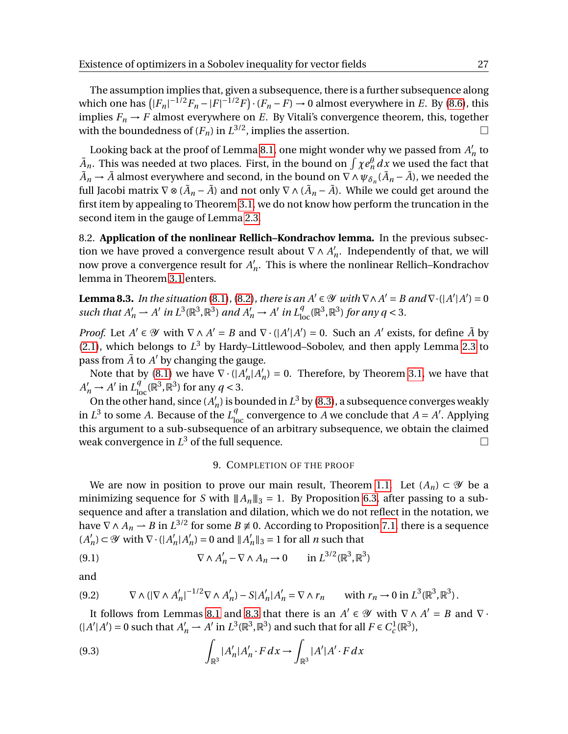The assumption implies that, given a subsequence, there is a further subsequence along which one has  $(|F_n|^{-1/2}F_n - |F|^{-1/2}F) \cdot (F_n - F) \to 0$  almost everywhere in *E*. By [\(8.6\)](#page-24-2), this implies  $F_n \to F$  almost everywhere on *E*. By Vitali's convergence theorem, this, together with the boundedness of  $(F_n)$  in  $L^{3/2}$ , implies the assertion.

Looking back at the proof of Lemma [8.1,](#page-23-1) one might wonder why we passed from  $A_I^{\dagger}$  $n \neq n$  $\tilde{A}_n$ . This was needed at two places. First, in the bound on  $\int \chi e_n^\theta\, dx$  we used the fact that  $\tilde{A}_n \to \tilde{A}$  almost everywhere and second, in the bound on  $\nabla \wedge \psi_{\delta_n}(\tilde{A}_n - \tilde{A})$ , we needed the full Jacobi matrix  $\nabla \otimes (\tilde{A}_n - \tilde{A})$  and not only  $\nabla \wedge (\tilde{A}_n - \tilde{A})$ . While we could get around the first item by appealing to Theorem [3.1,](#page-7-0) we do not know how perform the truncation in the second item in the gauge of Lemma [2.3.](#page-6-1)

8.2. **Application of the nonlinear Rellich–Kondrachov lemma.** In the previous subsection we have proved a convergence result about  $\nabla \wedge A'$  $n'_n$ . Independently of that, we will now prove a convergence result for  $A'_i$ *n* . This is where the nonlinear Rellich–Kondrachov lemma in Theorem [3.1](#page-7-0) enters.

<span id="page-26-0"></span>**Lemma 8.3.** *In the situation* [\(8.1\)](#page-22-3), [\(8.2\)](#page-22-4), *there is an A*<sup> $\prime$ </sup>  $\in \mathcal{Y}$  *with*  $\nabla \wedge A' = B$  *and*  $\nabla \cdot (\vert A' \vert A') = 0$ such that  $A'_n \rightharpoonup A'$  in  $L^3(\mathbb{R}^3, \mathbb{R}^3)$  and  $A'_n \rightharpoonup A'$  in  $L^q_{loc}(\mathbb{R}^3, \mathbb{R}^3)$  for any  $q < 3$ .

*Proof.* Let  $A' \in \mathcal{Y}$  with  $\nabla \wedge A' = B$  and  $\nabla \cdot (|A'|A') = 0$ . Such an  $A'$  exists, for define  $\tilde{A}$  by [\(2.1\)](#page-6-2), which belongs to  $L^3$  by Hardy–Littlewood–Sobolev, and then apply Lemma [2.3](#page-6-1) to pass from  $\tilde{A}$  to  $A'$  by changing the gauge.

Note that by [\(8.1\)](#page-22-3) we have  $\nabla \cdot (A_1)$  $n | A'_l$  $n'_n$ ) = 0. Therefore, by Theorem [3.1,](#page-7-0) we have that  $A'_n \to A'$  in  $L^q_{\text{loc}}(\mathbb{R}^3, \mathbb{R}^3)$  for any  $q < 3$ .

On the other hand, since  $(A'_i)$  $n'_n$ ) is bounded in  $L^3$  by [\(8.3\)](#page-23-0), a subsequence converges weakly in  $L^3$  to some *A*. Because of the  $L^q_{loc}$  convergence to *A* we conclude that  $A = A'$ . Applying this argument to a sub-subsequence of an arbitrary subsequence, we obtain the claimed weak convergence in  $L^3$  of the full sequence.

# <span id="page-26-3"></span>9. COMPLETION OF THE PROOF

We are now in position to prove our main result, Theorem [1.1.](#page-2-0) Let  $(A_n) \subset \mathcal{Y}$  be a minimizing sequence for *S* with  $||A_n||_3 = 1$ . By Proposition [6.3,](#page-18-1) after passing to a subsequence and after a translation and dilation, which we do not reflect in the notation, we have  $\nabla \wedge A_n \rightharpoonup B$  in  $L^{3/2}$  for some  $B \not\equiv 0$ . According to Proposition [7.1,](#page-19-0) there is a sequence  $(A'_{l})$  $\mathcal{O}_n$ )  $\subset \mathscr{Y}$  with  $\nabla \cdot (|A|)$  $n|A|$  $n'_n$ ) = 0 and  $||A'_n$  $n'_n$  ||<sub>3</sub> = 1 for all *n* such that

(9.1) 
$$
\nabla \wedge A'_n - \nabla \wedge A_n \to 0 \quad \text{in } L^{3/2}(\mathbb{R}^3, \mathbb{R}^3)
$$

and

<span id="page-26-2"></span>
$$
(9.2) \qquad \nabla \wedge (|\nabla \wedge A'_n|^{-1/2} \nabla \wedge A'_n) - S|A'_n|A'_n = \nabla \wedge r_n \qquad \text{with } r_n \to 0 \text{ in } L^3(\mathbb{R}^3, \mathbb{R}^3).
$$

It follows from Lemmas [8.1](#page-23-1) and [8.3](#page-26-0) that there is an  $A' \in \mathcal{Y}$  with  $\nabla \wedge A' = B$  and  $\nabla \cdot$  $(|A'|A') = 0$  such that  $A'_n \rightharpoonup A'$  in  $L^3(\mathbb{R}^3, \mathbb{R}^3)$  and such that for all  $F \in C_c^1(\mathbb{R}^3)$ ,

<span id="page-26-1"></span>(9.3) 
$$
\int_{\mathbb{R}^3} |A'_n| A'_n \cdot F dx \to \int_{\mathbb{R}^3} |A'| A' \cdot F dx
$$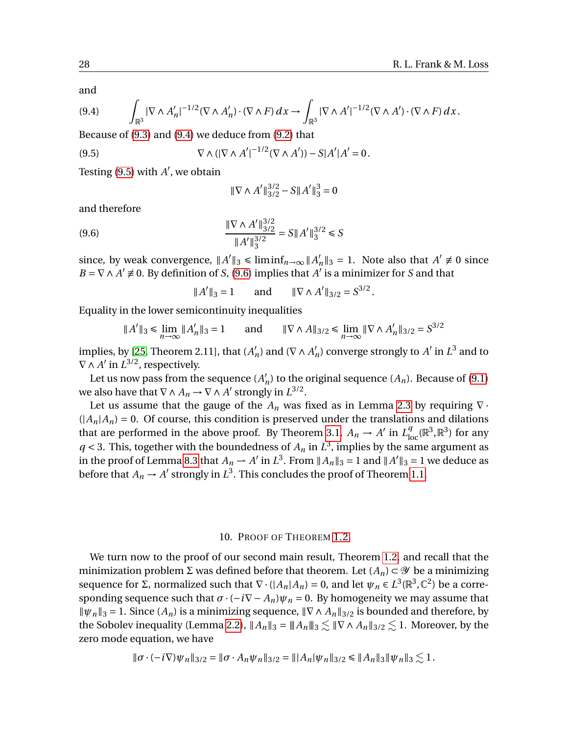and

<span id="page-27-0"></span>
$$
(9.4) \qquad \int_{\mathbb{R}^3} |\nabla \wedge A'_n|^{-1/2} (\nabla \wedge A'_n) \cdot (\nabla \wedge F) dx \to \int_{\mathbb{R}^3} |\nabla \wedge A'|^{-1/2} (\nabla \wedge A') \cdot (\nabla \wedge F) dx.
$$

Because of [\(9.3\)](#page-26-1) and [\(9.4\)](#page-27-0) we deduce from [\(9.2\)](#page-26-2) that

(9.5) 
$$
\nabla \wedge (|\nabla \wedge A'|^{-1/2} (\nabla \wedge A')) - S|A'|A' = 0.
$$

Testing  $(9.5)$  with  $A'$ , we obtain

<span id="page-27-2"></span><span id="page-27-1"></span>
$$
\|\nabla \wedge A'\|_{3/2}^{3/2} - S\|A'\|_3^3 = 0
$$

and therefore

$$
\frac{\|\nabla \wedge A'\|_{3/2}^{3/2}}{\|A'\|_{3}^{3/2}} = S \|A'\|_{3}^{3/2} \le S
$$

since, by weak convergence,  $||A'||_3 \leq \liminf_{n \to \infty} ||A'_n||_3$  $\binom{n}{n}$  = 1. Note also that  $A' \neq 0$  since  $B = \nabla \wedge A' \neq 0$ . By definition of *S*, [\(9.6\)](#page-27-2) implies that  $A'$  is a minimizer for *S* and that

> $\parallel$ A<sup>'</sup>  $\|$ <sub>3</sub> = 1 and  $\|\nabla \wedge A'\|_{3/2} = S^{3/2}$ .

Equality in the lower semicontinuity inequalities

$$
||A'||_3 \le \lim_{n \to \infty} ||A'_n||_3 = 1 \quad \text{and} \quad ||\nabla \wedge A||_{3/2} \le \lim_{n \to \infty} ||\nabla \wedge A'_n||_{3/2} = S^{3/2}
$$

implies, by [\[25,](#page-29-3) Theorem 2.11], that  $(A<sub>1</sub>)$  $n'_n$ ) and ( $\nabla \wedge A'_n$  $n'_n$ ) converge strongly to  $A'$  in  $L^3$  and to  $\nabla \wedge A'$  in  $L^{3/2}$ , respectively.

Let us now pass from the sequence  $(A<sub>1</sub>)$  $n'_n$ ) to the original sequence  $(A_n)$ . Because of  $(9.1)$ we also have that  $\nabla \wedge A_n \to \nabla \wedge A'$  strongly in  $L^{3/2}$ .

Let us assume that the gauge of the  $A_n$  was fixed as in Lemma [2.3](#page-6-1) by requiring  $\nabla \cdot$  $(|A_n|A_n) = 0$ . Of course, this condition is preserved under the translations and dilations that are performed in the above proof. By Theorem [3.1,](#page-7-0)  $A_n \to A'$  in  $L^q_{loc}(\mathbb{R}^3, \mathbb{R}^3)$  for any  $q < 3$ . This, together with the boundedness of  $A_n$  in  $L^3$ , implies by the same argument as in the proof of Lemma [8.3](#page-26-0) that  $A_n \to A'$  in  $L^3$ . From  $||A_n||_3 = 1$  and  $||A'||_3 = 1$  we deduce as before that  $A_n \to A'$  strongly in  $L^3$ . This concludes the proof of Theorem [1.1.](#page-2-0)

# 10. PROOF OF THEOREM [1.2](#page-3-0)

We turn now to the proof of our second main result, Theorem [1.2,](#page-3-0) and recall that the minimization problem Σ was defined before that theorem. Let  $(A_n) \subset \mathcal{Y}$  be a minimizing sequence for  $\Sigma$ , normalized such that  $\nabla \cdot ( |A_n| A_n) = 0$ , and let  $\psi_n \in L^3(\mathbb{R}^3, \mathbb{C}^2)$  be a corresponding sequence such that  $\sigma \cdot (-i\nabla - A_n)\psi_n = 0$ . By homogeneity we may assume that  $\|\psi_n\|_3 = 1$ . Since  $(A_n)$  is a minimizing sequence,  $\|\nabla \wedge A_n\|_{3/2}$  is bounded and therefore, by the Sobolev inequality (Lemma [2.2\)](#page-6-0),  $||A_n||_3 = ||A_n||_3 \lesssim ||\nabla \wedge A_n||_{3/2} \lesssim 1$ . Moreover, by the zero mode equation, we have

$$
\|\sigma \cdot (-i\nabla)\psi_n\|_{3/2} = \|\sigma \cdot A_n\psi_n\|_{3/2} = \| |A_n|\psi_n\|_{3/2} \le \|A_n\|_3 \|\psi_n\|_3 \lesssim 1.
$$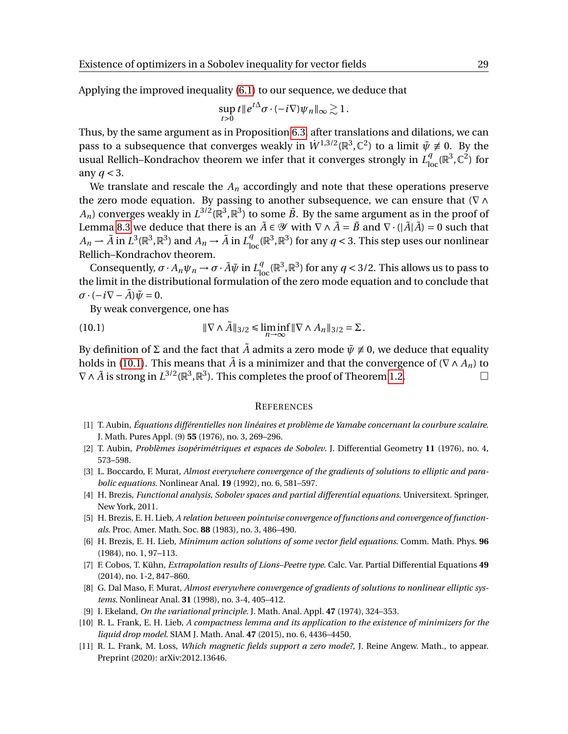Applying the improved inequality [\(6.1\)](#page-18-2) to our sequence, we deduce that

$$
\sup_{t>0} t\|e^{t\Delta}\sigma\cdot(-i\nabla)\psi_n\|_{\infty}\gtrsim 1.
$$

Thus, by the same argument as in Proposition [6.3,](#page-18-1) after translations and dilations, we can pass to a subsequence that converges weakly in  $\dot{W}^{1,3/2}(\mathbb{R}^3,\mathbb{C}^2)$  to a limit  $\tilde{\psi} \not\equiv 0$ . By the usual Rellich–Kondrachov theorem we infer that it converges strongly in  $L^q_{loc}(\mathbb{R}^3, \mathbb{C}^2)$  for any *q* < 3.

We translate and rescale the  $A_n$  accordingly and note that these operations preserve the zero mode equation. By passing to another subsequence, we can ensure that ( $\nabla \wedge$  $A_n)$  converges weakly in  $L^{3/2}(\mathbb{R}^3,\mathbb{R}^3)$  to some  $\tilde{B}.$  By the same argument as in the proof of Lemma [8.3](#page-26-0) we deduce that there is an  $\tilde{A} \in \mathcal{Y}$  with  $\nabla \wedge \tilde{A} = \tilde{B}$  and  $\nabla \cdot (|\tilde{A}|\tilde{A}) = 0$  such that  $A_n \to \tilde{A}$  in  $L^3(\mathbb{R}^3, \mathbb{R}^3)$  and  $A_n \to \tilde{A}$  in  $L^q_{\rm loc}(\mathbb{R}^3, \mathbb{R}^3)$  for any  $q <$  3. This step uses our nonlinear Rellich–Kondrachov theorem.

Consequently,  $\sigma \cdot A_n \psi_n \to \sigma \cdot \tilde{A} \tilde{\psi}$  in  $L^q_{\text{loc}}(\mathbb{R}^3, \mathbb{R}^3)$  for any  $q < 3/2$ . This allows us to pass to the limit in the distributional formulation of the zero mode equation and to conclude that  $\sigma \cdot (-i\nabla - \tilde{A})\tilde{\psi} = 0.$ 

By weak convergence, one has

(10.1) 
$$
\|\nabla \wedge \tilde{A}\|_{3/2} \le \liminf_{n \to \infty} \|\nabla \wedge A_n\|_{3/2} = \Sigma.
$$

By definition of  $\Sigma$  and the fact that  $\tilde{A}$  admits a zero mode  $\tilde{\psi} \neq 0$ , we deduce that equality holds in [\(10.1\)](#page-28-11). This means that  $\tilde{A}$  is a minimizer and that the convergence of ( $\nabla \wedge A_n$ ) to  $\nabla \wedge \tilde{A}$  is strong in  $L^{3/2}(\mathbb{R}^3, \mathbb{R}^3)$ . This completes the proof of Theorem [1.2.](#page-3-0)

#### <span id="page-28-11"></span>**REFERENCES**

- <span id="page-28-5"></span>[1] T. Aubin, *Équations différentielles non linéaires et problème de Yamabe concernant la courbure scalaire*. J. Math. Pures Appl. (9) **55** (1976), no. 3, 269–296.
- <span id="page-28-1"></span>[2] T. Aubin, *Problèmes isopérimétriques et espaces de Sobolev*. J. Differential Geometry **11** (1976), no. 4, 573–598.
- <span id="page-28-9"></span>[3] L. Boccardo, F. Murat, *Almost everywhere convergence of the gradients of solutions to elliptic and parabolic equations*. Nonlinear Anal. **19** (1992), no. 6, 581–597.
- <span id="page-28-8"></span>[4] H. Brezis, *Functional analysis, Sobolev spaces and partial differential equations*. Universitext. Springer, New York, 2011.
- <span id="page-28-2"></span>[5] H. Brezis, E. H. Lieb, *A relation between pointwise convergence of functions and convergence of functionals*. Proc. Amer. Math. Soc. **88** (1983), no. 3, 486–490.
- <span id="page-28-3"></span>[6] H. Brezis, E. H. Lieb, *Minimum action solutions of some vector field equations*. Comm. Math. Phys. **96** (1984), no. 1, 97–113.
- <span id="page-28-6"></span>[7] F. Cobos, T. Kühn, *Extrapolation results of Lions–Peetre type*. Calc. Var. Partial Differential Equations **49** (2014), no. 1-2, 847–860.
- <span id="page-28-10"></span>[8] G. Dal Maso, F. Murat, *Almost everywhere convergence of gradients of solutions to nonlinear elliptic systems*. Nonlinear Anal. **31** (1998), no. 3-4, 405–412.
- <span id="page-28-7"></span>[9] I. Ekeland, *On the variational principle*. J. Math. Anal. Appl. **47** (1974), 324–353.
- <span id="page-28-4"></span>[10] R. L. Frank, E. H. Lieb, *A compactness lemma and its application to the existence of minimizers for the liquid drop model*. SIAM J. Math. Anal. **47** (2015), no. 6, 4436–4450.
- <span id="page-28-0"></span>[11] R. L. Frank, M. Loss, *Which magnetic fields support a zero mode?*, J. Reine Angew. Math., to appear. Preprint (2020): arXiv:2012.13646.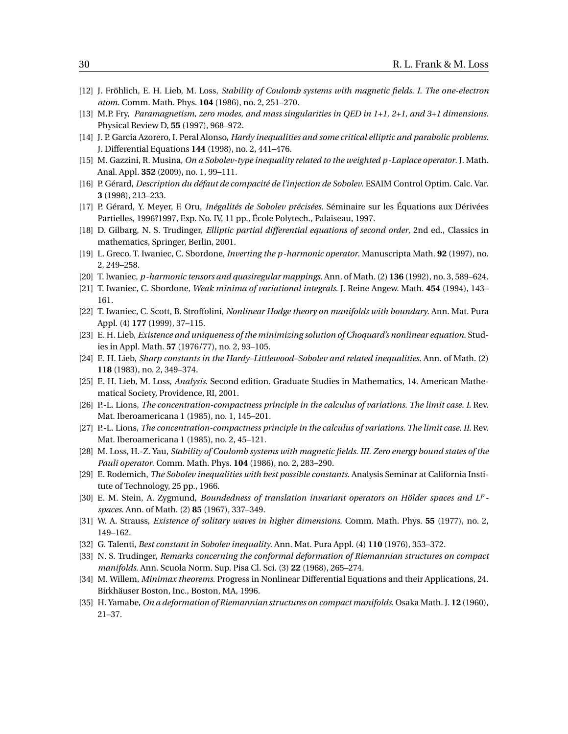- <span id="page-29-0"></span>[12] J. Fröhlich, E. H. Lieb, M. Loss, *Stability of Coulomb systems with magnetic fields. I. The one-electron atom*. Comm. Math. Phys. **104** (1986), no. 2, 251–270.
- <span id="page-29-2"></span>[13] M.P. Fry, *Paramagnetism, zero modes, and mass singularities in QED in 1+1, 2+1, and 3+1 dimensions*. Physical Review D, **55** (1997), 968–972.
- <span id="page-29-15"></span>[14] J. P. García Azorero, I. Peral Alonso, *Hardy inequalities and some critical elliptic and parabolic problems*. J. Differential Equations **144** (1998), no. 2, 441–476.
- <span id="page-29-16"></span>[15] M. Gazzini, R. Musina, *On a Sobolev-type inequality related to the weighted p-Laplace operator*. J. Math. Anal. Appl. **352** (2009), no. 1, 99–111.
- <span id="page-29-14"></span>[16] P. Gérard, *Description du défaut de compacité de l'injection de Sobolev*. ESAIM Control Optim. Calc. Var. **3** (1998), 213–233.
- <span id="page-29-13"></span>[17] P. Gérard, Y. Meyer, F. Oru, *Inégalités de Sobolev précisées*. Séminaire sur les Équations aux Dérivées Partielles, 1996?1997, Exp. No. IV, 11 pp., École Polytech., Palaiseau, 1997.
- <span id="page-29-19"></span>[18] D. Gilbarg, N. S. Trudinger, *Elliptic partial differential equations of second order*, 2nd ed., Classics in mathematics, Springer, Berlin, 2001.
- <span id="page-29-21"></span>[19] L. Greco, T. Iwaniec, C. Sbordone, *Inverting the p-harmonic operator*. Manuscripta Math. **92** (1997), no. 2, 249–258.
- <span id="page-29-17"></span>[20] T. Iwaniec, *p-harmonic tensors and quasiregular mappings*. Ann. of Math. (2) **136** (1992), no. 3, 589–624.
- <span id="page-29-22"></span>[21] T. Iwaniec, C. Sbordone, *Weak minima of variational integrals*. J. Reine Angew. Math. **454** (1994), 143– 161.
- <span id="page-29-20"></span>[22] T. Iwaniec, C. Scott, B. Stroffolini, *Nonlinear Hodge theory on manifolds with boundary*. Ann. Mat. Pura Appl. (4) **177** (1999), 37–115.
- <span id="page-29-8"></span>[23] E. H. Lieb, *Existence and uniqueness of the minimizing solution of Choquard's nonlinear equation*. Studies in Appl. Math. **57** (1976/77), no. 2, 93–105.
- <span id="page-29-9"></span>[24] E. H. Lieb, *Sharp constants in the Hardy–Littlewood–Sobolev and related inequalities*. Ann. of Math. (2) **118** (1983), no. 2, 349–374.
- <span id="page-29-3"></span>[25] E. H. Lieb, M. Loss, *Analysis*. Second edition. Graduate Studies in Mathematics, 14. American Mathematical Society, Providence, RI, 2001.
- <span id="page-29-4"></span>[26] P.-L. Lions, *The concentration-compactness principle in the calculus of variations. The limit case. I*. Rev. Mat. Iberoamericana 1 (1985), no. 1, 145–201.
- <span id="page-29-10"></span>[27] P.-L. Lions, *The concentration-compactness principle in the calculus of variations. The limit case. II*. Rev. Mat. Iberoamericana 1 (1985), no. 2, 45–121.
- <span id="page-29-1"></span>[28] M. Loss, H.-Z. Yau, *Stability of Coulomb systems with magnetic fields. III. Zero energy bound states of the Pauli operator*. Comm. Math. Phys. **104** (1986), no. 2, 283–290.
- <span id="page-29-5"></span>[29] E. Rodemich, *The Sobolev inequalities with best possible constants*. Analysis Seminar at California Institute of Technology, 25 pp., 1966.
- <span id="page-29-18"></span>[30] E. M. Stein, A. Zygmund, *Boundedness of translation invariant operators on Hölder spaces and L<sup>p</sup> spaces*. Ann. of Math. (2) **85** (1967), 337–349.
- <span id="page-29-7"></span>[31] W. A. Strauss, *Existence of solitary waves in higher dimensions*. Comm. Math. Phys. **55** (1977), no. 2, 149–162.
- <span id="page-29-6"></span>[32] G. Talenti, *Best constant in Sobolev inequality*. Ann. Mat. Pura Appl. (4) **110** (1976), 353–372.
- <span id="page-29-12"></span>[33] N. S. Trudinger, *Remarks concerning the conformal deformation of Riemannian structures on compact manifolds*. Ann. Scuola Norm. Sup. Pisa Cl. Sci. (3) **22** (1968), 265–274.
- [34] M. Willem, *Minimax theorems*. Progress in Nonlinear Differential Equations and their Applications, 24. Birkhäuser Boston, Inc., Boston, MA, 1996.
- <span id="page-29-11"></span>[35] H. Yamabe, *On a deformation of Riemannian structures on compact manifolds*. Osaka Math. J. **12** (1960), 21–37.